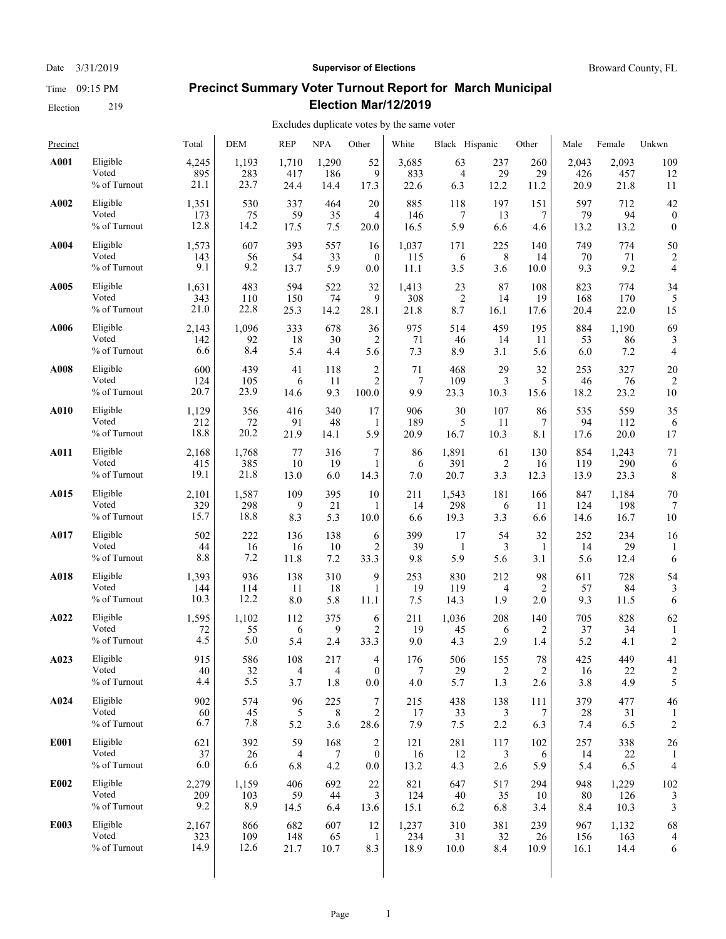#### Date  $3/31/2019$  **Supervisor of Elections** Broward County, FL

# **Precinct Summary Voter Turnout Report for March Municipal Election Mar/12/2019**

| Precinct    |                                   | Total                | <b>DEM</b>           | <b>REP</b>      | <b>NPA</b>       | Other                                     | White             | Black Hispanic       |                 | Other            | Male               | Female               | Unkwn                |
|-------------|-----------------------------------|----------------------|----------------------|-----------------|------------------|-------------------------------------------|-------------------|----------------------|-----------------|------------------|--------------------|----------------------|----------------------|
| A001        | Eligible                          | 4,245                | 1,193                | 1,710           | 1,290            | 52                                        | 3,685             | 63                   | 237             | 260              | 2,043              | 2,093                | 109                  |
|             | Voted                             | 895                  | 283                  | 417             | 186              | 9                                         | 833               | $\overline{4}$       | 29              | 29               | 426                | 457                  | 12                   |
|             | % of Turnout                      | 21.1                 | 23.7                 | 24.4            | 14.4             | 17.3                                      | 22.6              | 6.3                  | 12.2            | 11.2             | 20.9               | 21.8                 | 11                   |
| A002        | Eligible                          | 1,351                | 530                  | 337             | 464              | 20                                        | 885               | 118                  | 197             | 151              | 597                | 712                  | 42                   |
|             | Voted                             | 173                  | 75                   | 59              | 35               | 4                                         | 146               | 7                    | 13              | 7                | 79                 | 94                   | $\boldsymbol{0}$     |
|             | % of Turnout                      | 12.8                 | 14.2                 | 17.5            | 7.5              | 20.0                                      | 16.5              | 5.9                  | 6.6             | 4.6              | 13.2               | 13.2                 | $\boldsymbol{0}$     |
| A004        | Eligible                          | 1,573                | 607                  | 393             | 557              | 16                                        | 1,037             | 171                  | 225             | 140              | 749                | 774                  | 50                   |
|             | Voted                             | 143                  | 56                   | 54              | 33               | $\mathbf{0}$                              | 115               | 6                    | 8               | 14               | 70                 | 71                   | 2                    |
|             | % of Turnout                      | 9.1                  | 9.2                  | 13.7            | 5.9              | 0.0                                       | 11.1              | 3.5                  | 3.6             | 10.0             | 9.3                | 9.2                  | 4                    |
| A005        | Eligible                          | 1,631                | 483                  | 594             | 522              | 32                                        | 1,413             | 23                   | 87              | 108              | 823                | 774                  | 34                   |
|             | Voted                             | 343                  | 110                  | 150             | 74               | 9                                         | 308               | $\overline{2}$       | 14              | 19               | 168                | 170                  | 5                    |
|             | % of Turnout                      | 21.0                 | 22.8                 | 25.3            | 14.2             | 28.1                                      | 21.8              | 8.7                  | 16.1            | 17.6             | 20.4               | 22.0                 | 15                   |
| A006        | Eligible                          | 2,143                | 1,096                | 333             | 678              | 36                                        | 975               | 514                  | 459             | 195              | 884                | 1,190                | 69                   |
|             | Voted                             | 142                  | 92                   | 18              | 30               | 2                                         | 71                | 46                   | 14              | 11               | 53                 | 86                   | 3                    |
|             | % of Turnout                      | 6.6                  | 8.4                  | 5.4             | 4.4              | 5.6                                       | 7.3               | 8.9                  | 3.1             | 5.6              | 6.0                | 7.2                  | 4                    |
| A008        | Eligible                          | 600                  | 439                  | 41              | 118              | $\overline{c}$                            | 71                | 468                  | 29              | 32               | 253                | 327                  | 20                   |
|             | Voted                             | 124                  | 105                  | 6               | 11               | $\mathbf{2}$                              | 7                 | 109                  | 3               | 5                | 46                 | 76                   | $\overline{2}$       |
|             | % of Turnout                      | 20.7                 | 23.9                 | 14.6            | 9.3              | 100.0                                     | 9.9               | 23.3                 | 10.3            | 15.6             | 18.2               | 23.2                 | 10                   |
| A010        | Eligible                          | 1,129                | 356                  | 416             | 340              | 17                                        | 906               | 30                   | 107             | 86               | 535                | 559                  | 35                   |
|             | Voted                             | 212                  | 72                   | 91              | 48               | 1                                         | 189               | 5                    | 11              | 7                | 94                 | 112                  | 6                    |
|             | % of Turnout                      | 18.8                 | 20.2                 | 21.9            | 14.1             | 5.9                                       | 20.9              | 16.7                 | 10.3            | 8.1              | 17.6               | 20.0                 | 17                   |
| A011        | Eligible                          | 2,168                | 1,768                | 77              | 316              | 7                                         | 86                | 1,891                | 61              | 130              | 854                | 1,243                | 71                   |
|             | Voted                             | 415                  | 385                  | 10              | 19               | 1                                         | 6                 | 391                  | $\overline{2}$  | 16               | 119                | 290                  | 6                    |
|             | $\%$ of Turnout                   | 19.1                 | 21.8                 | 13.0            | 6.0              | 14.3                                      | 7.0               | 20.7                 | 3.3             | 12.3             | 13.9               | 23.3                 | 8                    |
| A015        | Eligible<br>Voted<br>% of Turnout | 2,101<br>329<br>15.7 | 1,587<br>298<br>18.8 | 109<br>9<br>8.3 | 395<br>21<br>5.3 | 10<br>1<br>10.0                           | 211<br>14<br>6.6  | 1,543<br>298<br>19.3 | 181<br>6<br>3.3 | 166<br>11<br>6.6 | 847<br>124<br>14.6 | 1,184<br>198<br>16.7 | 70<br>10             |
| A017        | Eligible                          | 502                  | 222                  | 136             | 138              | 6                                         | 399               | 17                   | 54              | 32               | 252                | 234                  | 16                   |
|             | Voted                             | 44                   | 16                   | 16              | 10               | 2                                         | 39                | $\mathbf{1}$         | 3               | 1                | 14                 | 29                   | 1                    |
|             | % of Turnout                      | 8.8                  | 7.2                  | 11.8            | 7.2              | 33.3                                      | 9.8               | 5.9                  | 5.6             | 3.1              | 5.6                | 12.4                 | 6                    |
| A018        | Eligible                          | 1,393                | 936                  | 138             | 310              | 9                                         | 253               | 830                  | 212             | 98               | 611                | 728                  | 54                   |
|             | Voted                             | 144                  | 114                  | 11              | 18               | $\mathbf{1}$                              | 19                | 119                  | 4               | 2                | 57                 | 84                   | 3                    |
|             | % of Turnout                      | 10.3                 | 12.2                 | 8.0             | 5.8              | 11.1                                      | 7.5               | 14.3                 | 1.9             | 2.0              | 9.3                | 11.5                 | 6                    |
| A022        | Eligible                          | 1,595                | 1,102                | 112             | 375              | 6                                         | 211               | 1,036                | 208             | 140              | 705                | 828                  | 62                   |
|             | Voted                             | 72                   | 55                   | 6               | 9                | $\overline{2}$                            | 19                | 45                   | 6               | 2                | 37                 | 34                   | 1                    |
|             | % of Turnout                      | 4.5                  | 5.0                  | 5.4             | 2.4              | 33.3                                      | 9.0               | 4.3                  | 2.9             | 1.4              | 5.2                | 4.1                  | $\overline{c}$       |
| A023        | Eligible                          | 915                  | 586                  | 108             | 217              | $\overline{4}$                            | 176               | 506                  | 155             | 78               | 425                | 449                  | 41                   |
|             | Voted                             | $40\,$               | 32                   | 4               | $\overline{4}$   | $\mathbf{0}$                              | 7                 | 29                   | 2               | $\overline{2}$   | 16                 | 22                   | $\overline{2}$       |
|             | $\%$ of Turnout                   | 4.4                  | 5.5                  | 3.7             | 1.8              | 0.0                                       | 4.0               | 5.7                  | 1.3             | 2.6              | 3.8                | 4.9                  | 5                    |
| A024        | Eligible<br>Voted<br>% of Turnout | 902<br>60<br>6.7     | 574<br>45<br>7.8     | 96<br>5<br>5.2  | 225<br>8<br>3.6  | 7<br>$\mathfrak{2}$<br>28.6               | 215<br>17<br>7.9  | 438<br>33<br>7.5     | 138<br>3<br>2.2 | 111<br>7<br>6.3  | 379<br>28<br>7.4   | 477<br>31<br>6.5     | 46<br>$\overline{c}$ |
| E001        | Eligible<br>Voted<br>% of Turnout | 621<br>37<br>6.0     | 392<br>$26\,$<br>6.6 | 59<br>4<br>6.8  | 168<br>7<br>4.2  | $\overline{c}$<br>$\mathbf{0}$<br>$0.0\,$ | 121<br>16<br>13.2 | 281<br>12<br>4.3     | 117<br>3<br>2.6 | 102<br>6<br>5.9  | 257<br>14<br>5.4   | 338<br>22<br>6.5     | 26<br>4              |
| E002        | Eligible                          | 2,279                | 1,159                | 406             | 692              | 22                                        | 821               | 647                  | 517             | 294              | 948                | 1,229                | 102                  |
|             | Voted                             | 209                  | 103                  | 59              | 44               | 3                                         | 124               | 40                   | 35              | 10               | 80                 | 126                  | 3                    |
|             | % of Turnout                      | 9.2                  | 8.9                  | 14.5            | 6.4              | 13.6                                      | 15.1              | 6.2                  | 6.8             | 3.4              | 8.4                | 10.3                 | 3                    |
| <b>E003</b> | Eligible                          | 2,167                | 866                  | 682             | 607              | 12                                        | 1,237             | 310                  | 381             | 239              | 967                | 1,132                | 68                   |
|             | Voted                             | 323                  | 109                  | 148             | 65               | $\mathbf{1}$                              | 234               | 31                   | 32              | 26               | 156                | 163                  | $\overline{4}$       |
|             | % of Turnout                      | 14.9                 | 12.6                 | 21.7            | 10.7             | 8.3                                       | 18.9              | 10.0                 | 8.4             | 10.9             | 16.1               | 14.4                 | 6                    |
|             |                                   |                      |                      |                 |                  |                                           |                   |                      |                 |                  |                    |                      |                      |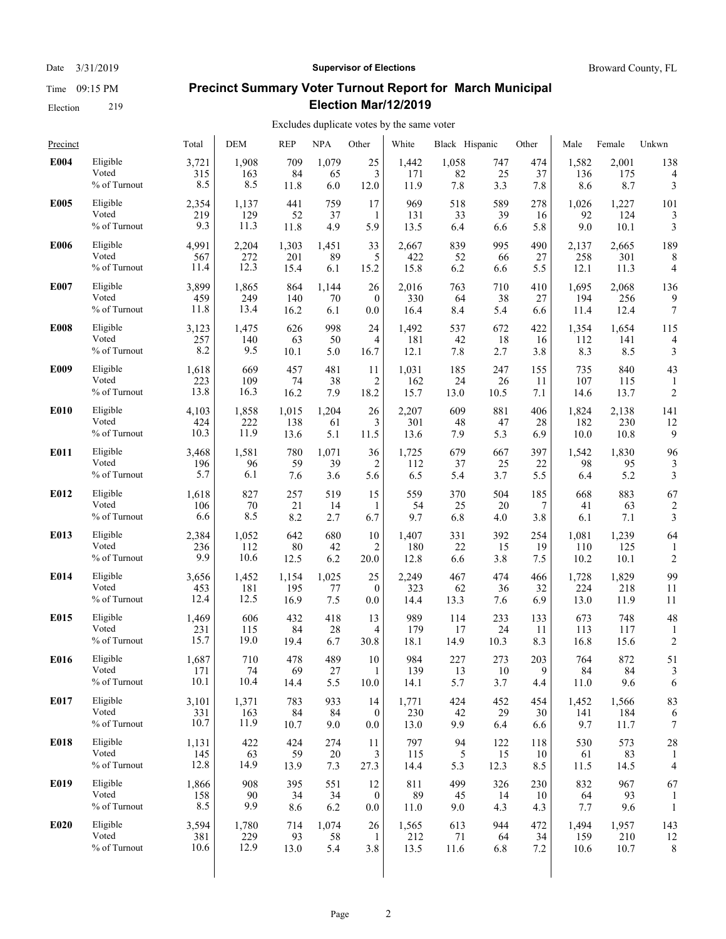#### Date  $3/31/2019$  **Supervisor of Elections** Broward County, FL

# **Precinct Summary Voter Turnout Report for March Municipal Election Mar/12/2019**

| Precinct    |              | Total | <b>DEM</b> | <b>REP</b> | <b>NPA</b> | Other          | White | Black Hispanic |      | Other       | Male  | Female | Unkwn          |
|-------------|--------------|-------|------------|------------|------------|----------------|-------|----------------|------|-------------|-------|--------|----------------|
| E004        | Eligible     | 3,721 | 1,908      | 709        | 1,079      | 25             | 1,442 | 1,058          | 747  | 474         | 1,582 | 2,001  | 138            |
|             | Voted        | 315   | 163        | 84         | 65         | 3              | 171   | 82             | 25   | 37          | 136   | 175    | 4              |
|             | % of Turnout | 8.5   | 8.5        | 11.8       | 6.0        | 12.0           | 11.9  | 7.8            | 3.3  | 7.8         | 8.6   | 8.7    | 3              |
| <b>E005</b> | Eligible     | 2,354 | 1,137      | 441        | 759        | 17             | 969   | 518            | 589  | 278         | 1,026 | 1,227  | 101            |
|             | Voted        | 219   | 129        | 52         | 37         | 1              | 131   | 33             | 39   | 16          | 92    | 124    | 3              |
|             | % of Turnout | 9.3   | 11.3       | 11.8       | 4.9        | 5.9            | 13.5  | 6.4            | 6.6  | 5.8         | 9.0   | 10.1   | 3              |
| <b>E006</b> | Eligible     | 4,991 | 2,204      | 1,303      | 1,451      | 33             | 2,667 | 839            | 995  | 490         | 2,137 | 2,665  | 189            |
|             | Voted        | 567   | 272        | 201        | 89         | 5              | 422   | 52             | 66   | 27          | 258   | 301    | 8              |
|             | % of Turnout | 11.4  | 12.3       | 15.4       | 6.1        | 15.2           | 15.8  | 6.2            | 6.6  | 5.5         | 12.1  | 11.3   | $\overline{4}$ |
| E007        | Eligible     | 3,899 | 1,865      | 864        | 1,144      | 26             | 2,016 | 763            | 710  | 410         | 1,695 | 2,068  | 136            |
|             | Voted        | 459   | 249        | 140        | 70         | $\mathbf{0}$   | 330   | 64             | 38   | 27          | 194   | 256    | 9              |
|             | % of Turnout | 11.8  | 13.4       | 16.2       | 6.1        | $0.0\,$        | 16.4  | 8.4            | 5.4  | 6.6         | 11.4  | 12.4   | 7              |
| <b>E008</b> | Eligible     | 3,123 | 1,475      | 626        | 998        | 24             | 1,492 | 537            | 672  | 422         | 1,354 | 1,654  | 115            |
|             | Voted        | 257   | 140        | 63         | 50         | 4              | 181   | 42             | 18   | 16          | 112   | 141    | $\overline{4}$ |
|             | % of Turnout | 8.2   | 9.5        | 10.1       | 5.0        | 16.7           | 12.1  | 7.8            | 2.7  | 3.8         | 8.3   | 8.5    | 3              |
| E009        | Eligible     | 1,618 | 669        | 457        | 481        | 11             | 1,031 | 185            | 247  | 155         | 735   | 840    | 43             |
|             | Voted        | 223   | 109        | 74         | 38         | 2              | 162   | 24             | 26   | 11          | 107   | 115    | 1              |
|             | % of Turnout | 13.8  | 16.3       | 16.2       | 7.9        | 18.2           | 15.7  | 13.0           | 10.5 | 7.1         | 14.6  | 13.7   | $\overline{c}$ |
| <b>E010</b> | Eligible     | 4,103 | 1,858      | 1,015      | 1,204      | 26             | 2,207 | 609            | 881  | 406         | 1,824 | 2,138  | 141            |
|             | Voted        | 424   | 222        | 138        | 61         | 3              | 301   | 48             | 47   | 28          | 182   | 230    | 12             |
|             | % of Turnout | 10.3  | 11.9       | 13.6       | 5.1        | 11.5           | 13.6  | 7.9            | 5.3  | 6.9         | 10.0  | 10.8   | 9              |
| E011        | Eligible     | 3,468 | 1,581      | 780        | 1,071      | 36             | 1,725 | 679            | 667  | 397         | 1,542 | 1,830  | 96             |
|             | Voted        | 196   | 96         | 59         | 39         | 2              | 112   | 37             | 25   | 22          | 98    | 95     | 3              |
|             | % of Turnout | 5.7   | 6.1        | 7.6        | 3.6        | 5.6            | 6.5   | 5.4            | 3.7  | 5.5         | 6.4   | 5.2    | 3              |
| E012        | Eligible     | 1,618 | 827        | 257        | 519        | 15             | 559   | 370            | 504  | 185         | 668   | 883    | 67             |
|             | Voted        | 106   | 70         | 21         | 14         | 1              | 54    | 25             | 20   | 7           | 41    | 63     | 2              |
|             | % of Turnout | 6.6   | 8.5        | 8.2        | 2.7        | 6.7            | 9.7   | 6.8            | 4.0  | 3.8         | 6.1   | 7.1    | 3              |
| E013        | Eligible     | 2,384 | 1,052      | 642        | 680        | 10             | 1,407 | 331            | 392  | 254         | 1,081 | 1,239  | 64             |
|             | Voted        | 236   | 112        | 80         | 42         | 2              | 180   | 22             | 15   | 19          | 110   | 125    | 1              |
|             | % of Turnout | 9.9   | 10.6       | 12.5       | 6.2        | 20.0           | 12.8  | 6.6            | 3.8  | 7.5         | 10.2  | 10.1   | $\overline{2}$ |
| E014        | Eligible     | 3,656 | 1,452      | 1,154      | 1,025      | 25             | 2,249 | 467            | 474  | 466         | 1,728 | 1,829  | 99             |
|             | Voted        | 453   | 181        | 195        | 77         | $\mathbf{0}$   | 323   | 62             | 36   | 32          | 224   | 218    | 11             |
|             | % of Turnout | 12.4  | 12.5       | 16.9       | 7.5        | 0.0            | 14.4  | 13.3           | 7.6  | 6.9         | 13.0  | 11.9   | 11             |
| E015        | Eligible     | 1,469 | 606        | 432        | 418        | 13             | 989   | 114            | 233  | 133         | 673   | 748    | 48             |
|             | Voted        | 231   | 115        | 84         | 28         | 4              | 179   | 17             | 24   | 11          | 113   | 117    | 1              |
|             | % of Turnout | 15.7  | 19.0       | 19.4       | 6.7        | 30.8           | 18.1  | 14.9           | 10.3 | 8.3         | 16.8  | 15.6   | 2              |
| E016        | Eligible     | 1,687 | 710        | 478        | 489        | 10             | 984   | 227            | 273  | 203         | 764   | 872    | 51             |
|             | Voted        | 171   | 74         | 69         | 27         | 1              | 139   | 13             | 10   | $\mathbf Q$ | 84    | 84     | 3              |
|             | % of Turnout | 10.1  | 10.4       | 14.4       | 5.5        | 10.0           | 14.1  | 5.7            | 3.7  | 4.4         | 11.0  | 9.6    | 6              |
| E017        | Eligible     | 3,101 | 1,371      | 783        | 933        | 14             | 1,771 | 424            | 452  | 454         | 1,452 | 1,566  | 83             |
|             | Voted        | 331   | 163        | 84         | 84         | $\mathbf{0}$   | 230   | 42             | 29   | 30          | 141   | 184    | 6              |
|             | % of Turnout | 10.7  | 11.9       | 10.7       | 9.0        | $0.0\,$        | 13.0  | 9.9            | 6.4  | 6.6         | 9.7   | 11.7   | 7              |
| E018        | Eligible     | 1,131 | 422        | 424        | 274        | 11             | 797   | 94             | 122  | 118         | 530   | 573    | 28             |
|             | Voted        | 145   | 63         | 59         | 20         | 3              | 115   | 5              | 15   | 10          | 61    | 83     | 1              |
|             | % of Turnout | 12.8  | 14.9       | 13.9       | 7.3        | 27.3           | 14.4  | 5.3            | 12.3 | 8.5         | 11.5  | 14.5   | 4              |
| E019        | Eligible     | 1,866 | 908        | 395        | 551        | 12             | 811   | 499            | 326  | 230         | 832   | 967    | 67             |
|             | Voted        | 158   | 90         | 34         | 34         | $\overline{0}$ | 89    | 45             | 14   | 10          | 64    | 93     | 1              |
|             | % of Turnout | 8.5   | 9.9        | 8.6        | 6.2        | $0.0\,$        | 11.0  | 9.0            | 4.3  | 4.3         | 7.7   | 9.6    | $\mathbf{1}$   |
| E020        | Eligible     | 3,594 | 1,780      | 714        | 1,074      | 26             | 1,565 | 613            | 944  | 472         | 1,494 | 1,957  | 143            |
|             | Voted        | 381   | 229        | 93         | 58         | 1              | 212   | 71             | 64   | 34          | 159   | 210    | 12             |
|             | % of Turnout | 10.6  | 12.9       | 13.0       | 5.4        | 3.8            | 13.5  | 11.6           | 6.8  | 7.2         | 10.6  | 10.7   | 8              |
|             |              |       |            |            |            |                |       |                |      |             |       |        |                |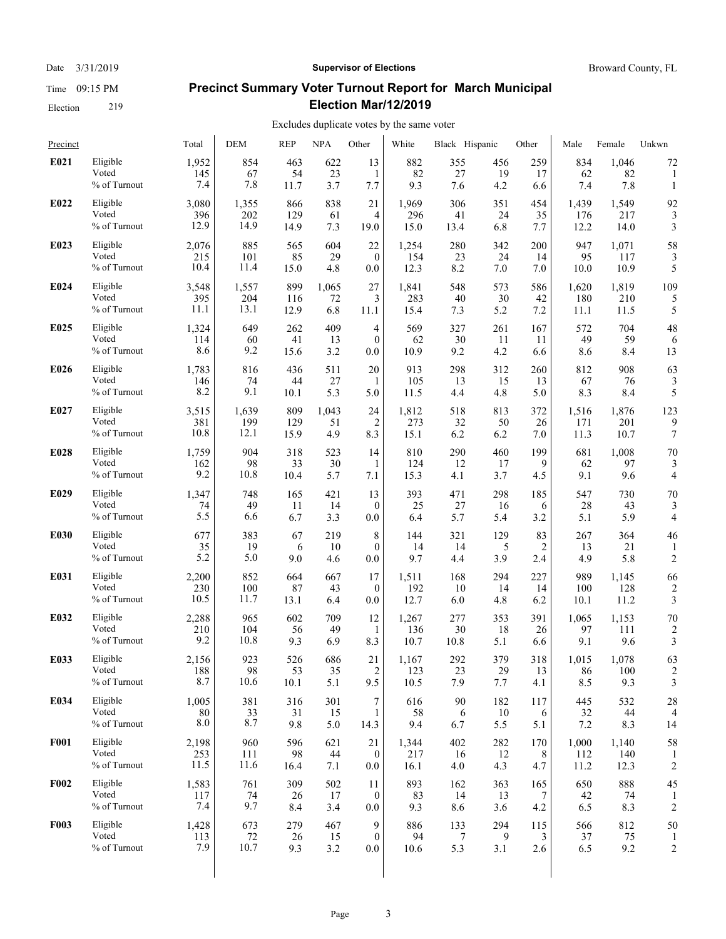#### Date  $3/31/2019$  **Supervisor of Elections** Broward County, FL

# **Precinct Summary Voter Turnout Report for March Municipal Election Mar/12/2019**

| Precinct    |                                   | Total                | <b>DEM</b>         | <b>REP</b>        | <b>NPA</b>       | Other                        | White                | Black Hispanic       |                  | Other           | Male                 | Female               | Unkwn                |
|-------------|-----------------------------------|----------------------|--------------------|-------------------|------------------|------------------------------|----------------------|----------------------|------------------|-----------------|----------------------|----------------------|----------------------|
| E021        | Eligible                          | 1,952                | 854                | 463               | 622              | 13                           | 882                  | 355                  | 456              | 259             | 834                  | 1.046                | 72                   |
|             | Voted                             | 145                  | 67                 | 54                | 23               | 1                            | 82                   | 27                   | 19               | 17              | 62                   | 82                   | 1                    |
|             | % of Turnout                      | 7.4                  | 7.8                | 11.7              | 3.7              | 7.7                          | 9.3                  | 7.6                  | 4.2              | 6.6             | 7.4                  | 7.8                  | 1                    |
| E022        | Eligible                          | 3,080                | 1,355              | 866               | 838              | 21                           | 1,969                | 306                  | 351              | 454             | 1,439                | 1,549                | 92                   |
|             | Voted                             | 396                  | 202                | 129               | 61               | 4                            | 296                  | 41                   | 24               | 35              | 176                  | 217                  | 3                    |
|             | % of Turnout                      | 12.9                 | 14.9               | 14.9              | 7.3              | 19.0                         | 15.0                 | 13.4                 | 6.8              | 7.7             | 12.2                 | 14.0                 | 3                    |
| E023        | Eligible                          | 2,076                | 885                | 565               | 604              | 22                           | 1,254                | 280                  | 342              | 200             | 947                  | 1,071                | 58                   |
|             | Voted                             | 215                  | 101                | 85                | 29               | $\theta$                     | 154                  | 23                   | 24               | 14              | 95                   | 117                  | 3                    |
|             | $\%$ of Turnout                   | 10.4                 | 11.4               | 15.0              | 4.8              | 0.0                          | 12.3                 | 8.2                  | 7.0              | 7.0             | 10.0                 | 10.9                 | 5                    |
| E024        | Eligible                          | 3,548                | 1,557              | 899               | 1,065            | 27                           | 1,841                | 548                  | 573              | 586             | 1,620                | 1,819                | 109                  |
|             | Voted                             | 395                  | 204                | 116               | 72               | 3                            | 283                  | 40                   | 30               | 42              | 180                  | 210                  | 5                    |
|             | % of Turnout                      | 11.1                 | 13.1               | 12.9              | 6.8              | 11.1                         | 15.4                 | 7.3                  | 5.2              | 7.2             | 11.1                 | 11.5                 | 5                    |
| E025        | Eligible                          | 1,324                | 649                | 262               | 409              | 4                            | 569                  | 327                  | 261              | 167             | 572                  | 704                  | 48                   |
|             | Voted                             | 114                  | 60                 | 41                | 13               | $\mathbf{0}$                 | 62                   | 30                   | 11               | 11              | 49                   | 59                   | 6                    |
|             | % of Turnout                      | 8.6                  | 9.2                | 15.6              | 3.2              | 0.0                          | 10.9                 | 9.2                  | 4.2              | 6.6             | 8.6                  | 8.4                  | 13                   |
| E026        | Eligible                          | 1,783                | 816                | 436               | 511              | 20                           | 913                  | 298                  | 312              | 260             | 812                  | 908                  | 63                   |
|             | Voted                             | 146                  | 74                 | 44                | 27               | 1                            | 105                  | 13                   | 15               | 13              | 67                   | 76                   | 3                    |
|             | % of Turnout                      | 8.2                  | 9.1                | 10.1              | 5.3              | 5.0                          | 11.5                 | 4.4                  | 4.8              | 5.0             | 8.3                  | 8.4                  | 5                    |
| E027        | Eligible                          | 3,515                | 1,639              | 809               | 1,043            | 24                           | 1,812                | 518                  | 813              | 372             | 1,516                | 1,876                | 123                  |
|             | Voted                             | 381                  | 199                | 129               | 51               | $\overline{2}$               | 273                  | 32                   | 50               | 26              | 171                  | 201                  | 9                    |
|             | % of Turnout                      | 10.8                 | 12.1               | 15.9              | 4.9              | 8.3                          | 15.1                 | 6.2                  | 6.2              | 7.0             | 11.3                 | 10.7                 | 7                    |
| E028        | Eligible                          | 1,759                | 904                | 318               | 523              | 14                           | 810                  | 290                  | 460              | 199             | 681                  | 1,008                | 70                   |
|             | Voted                             | 162                  | 98                 | 33                | 30               | 1                            | 124                  | 12                   | 17               | 9               | 62                   | 97                   | 3                    |
|             | % of Turnout                      | 9.2                  | 10.8               | 10.4              | 5.7              | 7.1                          | 15.3                 | 4.1                  | 3.7              | 4.5             | 9.1                  | 9.6                  | 4                    |
| E029        | Eligible                          | 1,347                | 748                | 165               | 421              | 13                           | 393                  | 471                  | 298              | 185             | 547                  | 730                  | 70                   |
|             | Voted                             | 74                   | 49                 | 11                | 14               | $\theta$                     | 25                   | 27                   | 16               | 6               | 28                   | 43                   | 3                    |
|             | % of Turnout                      | 5.5                  | 6.6                | 6.7               | 3.3              | 0.0                          | 6.4                  | 5.7                  | 5.4              | 3.2             | 5.1                  | 5.9                  | $\overline{4}$       |
| E030        | Eligible<br>Voted<br>% of Turnout | 677<br>35<br>5.2     | 383<br>19<br>5.0   | 67<br>6<br>9.0    | 219<br>10<br>4.6 | 8<br>$\mathbf{0}$<br>0.0     | 144<br>14<br>9.7     | 321<br>14<br>4.4     | 129<br>5<br>3.9  | 83<br>2<br>2.4  | 267<br>13<br>4.9     | 364<br>21<br>5.8     | 46<br>$\overline{c}$ |
| E031        | Eligible                          | 2,200                | 852                | 664               | 667              | 17                           | 1,511                | 168                  | 294              | 227             | 989                  | 1,145                | 66                   |
|             | Voted                             | 230                  | 100                | 87                | 43               | $\boldsymbol{0}$             | 192                  | 10                   | 14               | 14              | 100                  | 128                  | $\overline{2}$       |
|             | % of Turnout                      | 10.5                 | 11.7               | 13.1              | 6.4              | 0.0                          | 12.7                 | 6.0                  | 4.8              | 6.2             | 10.1                 | 11.2                 | 3                    |
| E032        | Eligible                          | 2,288                | 965                | 602               | 709              | 12                           | 1,267                | 277                  | 353              | 391             | 1,065                | 1,153                | 70                   |
|             | Voted                             | 210                  | 104                | 56                | 49               | 1                            | 136                  | 30                   | 18               | 26              | 97                   | 111                  | $\overline{2}$       |
|             | % of Turnout                      | 9.2                  | 10.8               | 9.3               | 6.9              | 8.3                          | 10.7                 | 10.8                 | 5.1              | 6.6             | 9.1                  | 9.6                  | 3                    |
| E033        | Eligible                          | 2,156                | 923                | 526               | 686              | 21                           | 1,167                | 292                  | 379              | 318             | 1,015                | 1,078                | 63                   |
|             | Voted                             | 188                  | 98                 | 53                | 35               | $\overline{2}$               | 123                  | 23                   | 29               | 13              | 86                   | 100                  | 2                    |
|             | % of Turnout                      | 8.7                  | 10.6               | 10.1              | 5.1              | 9.5                          | 10.5                 | 7.9                  | 7.7              | 4.1             | 8.5                  | 9.3                  | 3                    |
| E034        | Eligible                          | 1,005                | 381                | 316               | 301              | 7                            | 616                  | 90                   | 182              | 117             | 445                  | 532                  | 28                   |
|             | Voted                             | 80                   | 33                 | 31                | 15               | 1                            | 58                   | 6                    | 10               | 6               | 32                   | 44                   | 4                    |
|             | % of Turnout                      | 8.0                  | 8.7                | 9.8               | 5.0              | 14.3                         | 9.4                  | 6.7                  | 5.5              | 5.1             | 7.2                  | 8.3                  | 14                   |
| <b>F001</b> | Eligible<br>Voted<br>% of Turnout | 2,198<br>253<br>11.5 | 960<br>111<br>11.6 | 596<br>98<br>16.4 | 621<br>44<br>7.1 | 21<br>$\mathbf{0}$<br>0.0    | 1,344<br>217<br>16.1 | 402<br>16<br>4.0     | 282<br>12<br>4.3 | 170<br>8<br>4.7 | 1,000<br>112<br>11.2 | 1,140<br>140<br>12.3 | 58<br>$\overline{c}$ |
| <b>F002</b> | Eligible<br>Voted<br>% of Turnout | 1,583<br>117<br>7.4  | 761<br>74<br>9.7   | 309<br>26<br>8.4  | 502<br>17<br>3.4 | 11<br>$\mathbf{0}$<br>0.0    | 893<br>83<br>9.3     | 162<br>14<br>8.6     | 363<br>13<br>3.6 | 165<br>7<br>4.2 | 650<br>42<br>6.5     | 888<br>74<br>8.3     | 45<br>$\overline{c}$ |
| <b>F003</b> | Eligible<br>Voted<br>% of Turnout | 1,428<br>113<br>7.9  | 673<br>72<br>10.7  | 279<br>26<br>9.3  | 467<br>15<br>3.2 | 9<br>$\boldsymbol{0}$<br>0.0 | 886<br>94<br>10.6    | 133<br>$\tau$<br>5.3 | 294<br>9<br>3.1  | 115<br>3<br>2.6 | 566<br>37<br>6.5     | 812<br>75<br>9.2     | 50<br>$\overline{2}$ |
|             |                                   |                      |                    |                   |                  |                              |                      |                      |                  |                 |                      |                      |                      |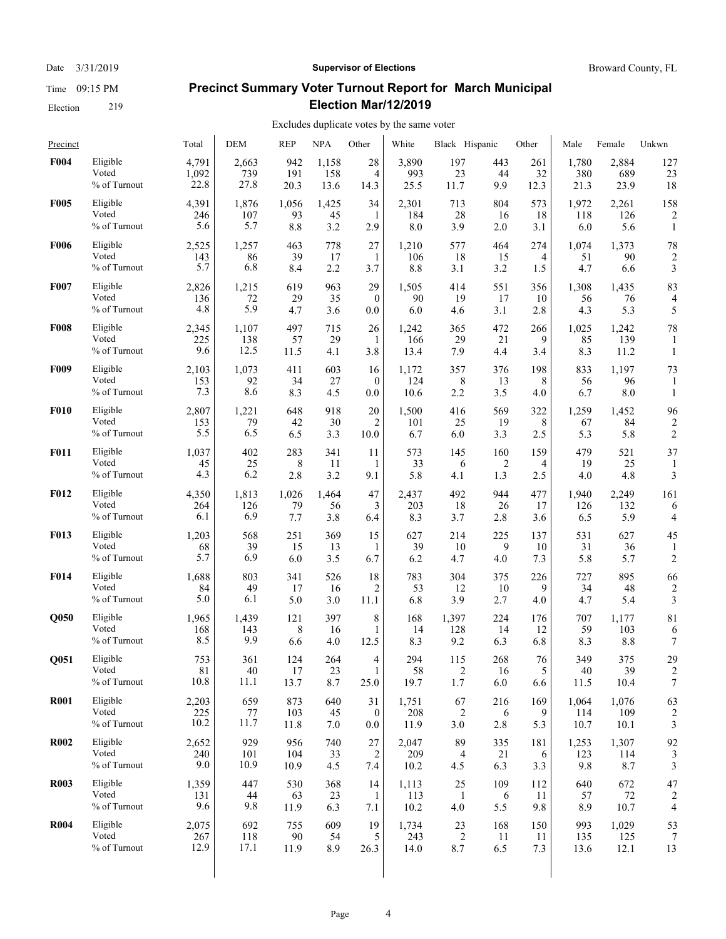Date  $3/31/2019$  **Supervisor of Elections** Broward County, FL

# **Precinct Summary Voter Turnout Report for March Municipal Election Mar/12/2019**

#### Excludes duplicate votes by the same voter  $\overline{1}$

| Precinct         |                                   | Total               | <b>DEM</b>         | <b>REP</b>       | <b>NPA</b>       | Other                     | White                | Black Hispanic  |                              | Other           | Male             | Female             | Unkwn                   |
|------------------|-----------------------------------|---------------------|--------------------|------------------|------------------|---------------------------|----------------------|-----------------|------------------------------|-----------------|------------------|--------------------|-------------------------|
| <b>F004</b>      | Eligible                          | 4,791               | 2,663              | 942              | 1,158            | 28                        | 3,890                | 197             | 443                          | 261             | 1,780            | 2,884              | 127                     |
|                  | Voted                             | 1,092               | 739                | 191              | 158              | 4                         | 993                  | 23              | 44                           | 32              | 380              | 689                | 23                      |
|                  | % of Turnout                      | 22.8                | 27.8               | 20.3             | 13.6             | 14.3                      | 25.5                 | 11.7            | 9.9                          | 12.3            | 21.3             | 23.9               | 18                      |
| <b>F005</b>      | Eligible                          | 4,391               | 1,876              | 1,056            | 1,425            | 34                        | 2,301                | 713             | 804                          | 573             | 1,972            | 2,261              | 158                     |
|                  | Voted                             | 246                 | 107                | 93               | 45               | 1                         | 184                  | 28              | 16                           | 18              | 118              | 126                | $\overline{2}$          |
|                  | % of Turnout                      | 5.6                 | 5.7                | 8.8              | 3.2              | 2.9                       | 8.0                  | 3.9             | 2.0                          | 3.1             | 6.0              | 5.6                | $\mathbf{1}$            |
| <b>F006</b>      | Eligible                          | 2,525               | 1,257              | 463              | 778              | 27                        | 1,210                | 577             | 464                          | 274             | 1,074            | 1,373              | 78                      |
|                  | Voted                             | 143                 | 86                 | 39               | 17               | $\mathbf{1}$              | 106                  | 18              | 15                           | 4               | 51               | 90                 | $\overline{2}$          |
|                  | % of Turnout                      | 5.7                 | 6.8                | 8.4              | 2.2              | 3.7                       | 8.8                  | 3.1             | 3.2                          | 1.5             | 4.7              | 6.6                | 3                       |
| <b>F007</b>      | Eligible                          | 2,826               | 1,215              | 619              | 963              | 29                        | 1,505                | 414             | 551                          | 356             | 1,308            | 1,435              | 83                      |
|                  | Voted                             | 136                 | 72                 | 29               | 35               | $\mathbf{0}$              | 90                   | 19              | 17                           | 10              | 56               | 76                 | $\overline{4}$          |
|                  | % of Turnout                      | 4.8                 | 5.9                | 4.7              | 3.6              | 0.0                       | 6.0                  | 4.6             | 3.1                          | 2.8             | 4.3              | 5.3                | 5                       |
| <b>F008</b>      | Eligible                          | 2,345               | 1,107              | 497              | 715              | 26                        | 1,242                | 365             | 472                          | 266             | 1,025            | 1,242              | 78                      |
|                  | Voted                             | 225                 | 138                | 57               | 29               | 1                         | 166                  | 29              | 21                           | 9               | 85               | 139                | 1                       |
|                  | % of Turnout                      | 9.6                 | 12.5               | 11.5             | 4.1              | 3.8                       | 13.4                 | 7.9             | 4.4                          | 3.4             | 8.3              | 11.2               | 1                       |
| F <sub>009</sub> | Eligible<br>Voted<br>% of Turnout | 2,103<br>153<br>7.3 | 1,073<br>92<br>8.6 | 411<br>34<br>8.3 | 603<br>27<br>4.5 | 16<br>$\mathbf{0}$<br>0.0 | 1,172<br>124<br>10.6 | 357<br>8<br>2.2 | 376<br>13<br>3.5             | 198<br>8<br>4.0 | 833<br>56<br>6.7 | 1,197<br>96<br>8.0 | 73<br>1                 |
| <b>F010</b>      | Eligible                          | 2,807               | 1,221              | 648              | 918              | 20                        | 1,500                | 416             | 569                          | 322             | 1,259            | 1,452              | 96                      |
|                  | Voted                             | 153                 | 79                 | 42               | 30               | $\overline{2}$            | 101                  | 25              | 19                           | 8               | 67               | 84                 | 2                       |
|                  | % of Turnout                      | 5.5                 | 6.5                | 6.5              | 3.3              | 10.0                      | 6.7                  | 6.0             | 3.3                          | 2.5             | 5.3              | 5.8                | $\overline{2}$          |
| <b>F011</b>      | Eligible<br>Voted<br>% of Turnout | 1,037<br>45<br>4.3  | 402<br>25<br>6.2   | 283<br>8<br>2.8  | 341<br>11<br>3.2 | 11<br>1<br>9.1            | 573<br>33<br>5.8     | 145<br>6<br>4.1 | 160<br>$\overline{2}$<br>1.3 | 159<br>4<br>2.5 | 479<br>19<br>4.0 | 521<br>25<br>4.8   | 37<br>3                 |
| <b>F012</b>      | Eligible                          | 4,350               | 1,813              | 1,026            | 1,464            | 47                        | 2,437                | 492             | 944                          | 477             | 1,940            | 2,249              | 161                     |
|                  | Voted                             | 264                 | 126                | 79               | 56               | 3                         | 203                  | 18              | 26                           | 17              | 126              | 132                | 6                       |
|                  | % of Turnout                      | 6.1                 | 6.9                | 7.7              | 3.8              | 6.4                       | 8.3                  | 3.7             | 2.8                          | 3.6             | 6.5              | 5.9                | 4                       |
| <b>F013</b>      | Eligible                          | 1,203               | 568                | 251              | 369              | 15                        | 627                  | 214             | 225                          | 137             | 531              | 627                | 45                      |
|                  | Voted                             | 68                  | 39                 | 15               | 13               | 1                         | 39                   | 10              | 9                            | 10              | 31               | 36                 | 1                       |
|                  | $\%$ of Turnout                   | 5.7                 | 6.9                | 6.0              | 3.5              | 6.7                       | 6.2                  | 4.7             | 4.0                          | 7.3             | 5.8              | 5.7                | $\overline{2}$          |
| <b>F014</b>      | Eligible                          | 1,688               | 803                | 341              | 526              | 18                        | 783                  | 304             | 375                          | 226             | 727              | 895                | 66                      |
|                  | Voted                             | 84                  | 49                 | 17               | 16               | $\overline{c}$            | 53                   | 12              | 10                           | 9               | 34               | 48                 | $\overline{c}$          |
|                  | % of Turnout                      | 5.0                 | 6.1                | 5.0              | 3.0              | 11.1                      | 6.8                  | 3.9             | 2.7                          | 4.0             | 4.7              | 5.4                | 3                       |
| <b>O050</b>      | Eligible                          | 1,965               | 1,439              | 121              | 397              | 8                         | 168                  | 1,397           | 224                          | 176             | 707              | 1,177              | 81                      |
|                  | Voted                             | 168                 | 143                | 8                | 16               | 1                         | 14                   | 128             | 14                           | 12              | 59               | 103                | 6                       |
|                  | % of Turnout                      | 8.5                 | 9.9                | 6.6              | 4.0              | 12.5                      | 8.3                  | 9.2             | 6.3                          | 6.8             | 8.3              | 8.8                | 7                       |
| Q051             | Eligible                          | 753                 | 361                | 124              | 264              | 4                         | 294                  | 115             | 268                          | $76\,$          | 349              | 375                | 29                      |
|                  | Voted                             | $8\sqrt{1}$         | 40                 | 17               | 23               | $\mathbf{1}$              | 58                   | $\overline{c}$  | 16                           | 5               | 40               | 39                 | $\overline{\mathbf{c}}$ |
|                  | % of Turnout                      | 10.8                | 11.1               | 13.7             | 8.7              | 25.0                      | 19.7                 | 1.7             | 6.0                          | 6.6             | 11.5             | 10.4               | 7                       |
| <b>R001</b>      | Eligible                          | 2,203               | 659                | 873              | 640              | 31                        | 1,751                | 67              | 216                          | 169             | 1,064            | 1,076              | 63                      |
|                  | Voted                             | 225                 | 77                 | 103              | 45               | $\bf{0}$                  | 208                  | $\overline{2}$  | 6                            | 9               | 114              | 109                | $\overline{2}$          |
|                  | % of Turnout                      | 10.2                | 11.7               | 11.8             | 7.0              | $0.0\,$                   | 11.9                 | 3.0             | 2.8                          | 5.3             | 10.7             | 10.1               | 3                       |
| <b>R002</b>      | Eligible                          | 2,652               | 929                | 956              | 740              | 27                        | 2,047                | 89              | 335                          | 181             | 1,253            | 1,307              | 92                      |
|                  | Voted                             | 240                 | 101                | 104              | 33               | 2                         | 209                  | $\overline{4}$  | 21                           | 6               | 123              | 114                | 3                       |
|                  | % of Turnout                      | 9.0                 | 10.9               | 10.9             | 4.5              | 7.4                       | 10.2                 | 4.5             | 6.3                          | 3.3             | 9.8              | 8.7                | 3                       |
| <b>R003</b>      | Eligible                          | 1,359               | 447                | 530              | 368              | 14                        | 1,113                | 25              | 109                          | 112             | 640              | 672                | 47                      |
|                  | Voted                             | 131                 | 44                 | 63               | 23               | 1                         | 113                  | $\mathbf{1}$    | 6                            | 11              | 57               | 72                 | 2                       |
|                  | % of Turnout                      | 9.6                 | 9.8                | 11.9             | 6.3              | 7.1                       | 10.2                 | 4.0             | 5.5                          | 9.8             | 8.9              | 10.7               | 4                       |
| <b>R004</b>      | Eligible                          | 2,075               | 692                | 755              | 609              | 19                        | 1,734                | 23              | 168                          | 150             | 993              | 1,029              | 53                      |
|                  | Voted                             | 267                 | 118                | 90               | 54               | 5                         | 243                  | $\overline{2}$  | 11                           | 11              | 135              | 125                | 7                       |
|                  | % of Turnout                      | 12.9                | 17.1               | 11.9             | 8.9              | 26.3                      | 14.0                 | 8.7             | 6.5                          | 7.3             | 13.6             | 12.1               | 13                      |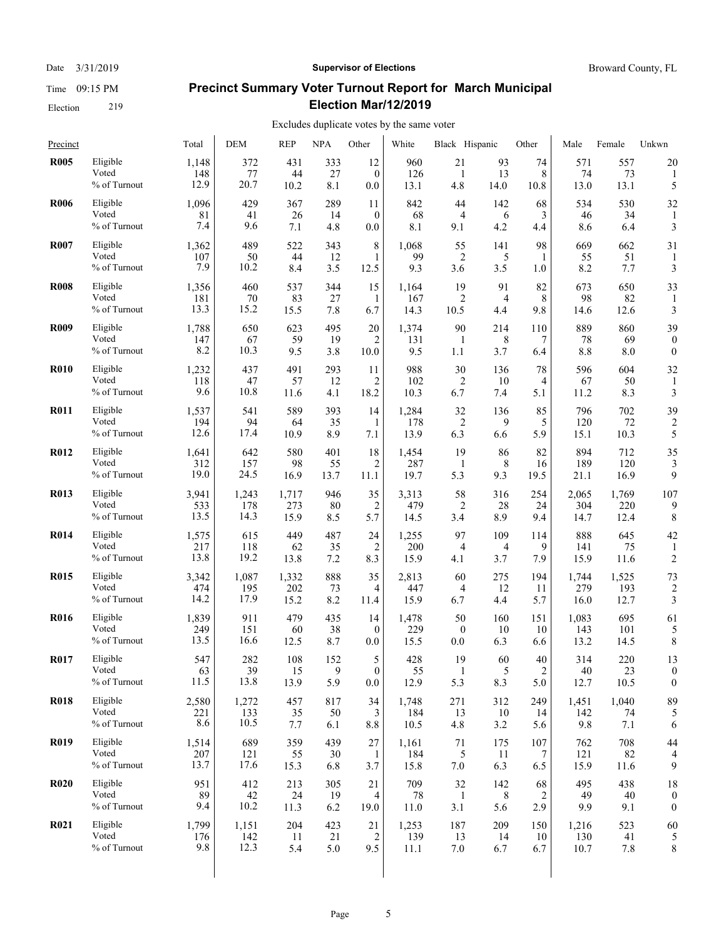#### Date  $3/31/2019$  **Supervisor of Elections** Broward County, FL

# **Precinct Summary Voter Turnout Report for March Municipal Election Mar/12/2019**

| Precinct    |                 | Total | DEM   | <b>REP</b> | <b>NPA</b> | Other          | White | Black Hispanic |      | Other          | Male  | Female | Unkwn            |
|-------------|-----------------|-------|-------|------------|------------|----------------|-------|----------------|------|----------------|-------|--------|------------------|
| <b>R005</b> | Eligible        | 1,148 | 372   | 431        | 333        | 12             | 960   | 21             | 93   | 74             | 571   | 557    | 20               |
|             | Voted           | 148   | 77    | 44         | 27         | $\mathbf{0}$   | 126   | $\mathbf{1}$   | 13   | 8              | 74    | 73     | 1                |
|             | % of Turnout    | 12.9  | 20.7  | 10.2       | 8.1        | 0.0            | 13.1  | 4.8            | 14.0 | 10.8           | 13.0  | 13.1   | 5                |
| <b>R006</b> | Eligible        | 1,096 | 429   | 367        | 289        | 11             | 842   | 44             | 142  | 68             | 534   | 530    | 32               |
|             | Voted           | 81    | 41    | 26         | 14         | $\mathbf{0}$   | 68    | 4              | 6    | 3              | 46    | 34     | 1                |
|             | % of Turnout    | 7.4   | 9.6   | 7.1        | 4.8        | 0.0            | 8.1   | 9.1            | 4.2  | 4.4            | 8.6   | 6.4    | 3                |
| <b>R007</b> | Eligible        | 1,362 | 489   | 522        | 343        | $\,$ 8 $\,$    | 1,068 | 55             | 141  | 98             | 669   | 662    | 31               |
|             | Voted           | 107   | 50    | 44         | 12         | $\mathbf{1}$   | 99    | $\overline{2}$ | 5    | 1              | 55    | 51     | 1                |
|             | % of Turnout    | 7.9   | 10.2  | 8.4        | 3.5        | 12.5           | 9.3   | 3.6            | 3.5  | 1.0            | 8.2   | 7.7    | 3                |
| <b>R008</b> | Eligible        | 1,356 | 460   | 537        | 344        | 15             | 1,164 | 19             | 91   | 82             | 673   | 650    | 33               |
|             | Voted           | 181   | 70    | 83         | 27         | 1              | 167   | $\overline{2}$ | 4    | 8              | 98    | 82     | 1                |
|             | % of Turnout    | 13.3  | 15.2  | 15.5       | 7.8        | 6.7            | 14.3  | 10.5           | 4.4  | 9.8            | 14.6  | 12.6   | 3                |
| <b>R009</b> | Eligible        | 1,788 | 650   | 623        | 495        | 20             | 1,374 | 90             | 214  | 110            | 889   | 860    | 39               |
|             | Voted           | 147   | 67    | 59         | 19         | 2              | 131   | -1             | 8    | 7              | 78    | 69     | $\theta$         |
|             | % of Turnout    | 8.2   | 10.3  | 9.5        | 3.8        | 10.0           | 9.5   | 1.1            | 3.7  | 6.4            | 8.8   | 8.0    | $\boldsymbol{0}$ |
| <b>R010</b> | Eligible        | 1,232 | 437   | 491        | 293        | 11             | 988   | 30             | 136  | 78             | 596   | 604    | 32               |
|             | Voted           | 118   | 47    | 57         | 12         | 2              | 102   | 2              | 10   | 4              | 67    | 50     | 1                |
|             | % of Turnout    | 9.6   | 10.8  | 11.6       | 4.1        | 18.2           | 10.3  | 6.7            | 7.4  | 5.1            | 11.2  | 8.3    | 3                |
| <b>R011</b> | Eligible        | 1,537 | 541   | 589        | 393        | 14             | 1,284 | 32             | 136  | 85             | 796   | 702    | 39               |
|             | Voted           | 194   | 94    | 64         | 35         | $\mathbf{1}$   | 178   | $\overline{2}$ | 9    | 5              | 120   | 72     | 2                |
|             | % of Turnout    | 12.6  | 17.4  | 10.9       | 8.9        | 7.1            | 13.9  | 6.3            | 6.6  | 5.9            | 15.1  | 10.3   | 5                |
| <b>R012</b> | Eligible        | 1,641 | 642   | 580        | 401        | 18             | 1,454 | 19             | 86   | 82             | 894   | 712    | 35               |
|             | Voted           | 312   | 157   | 98         | 55         | 2              | 287   | 1              | 8    | 16             | 189   | 120    | 3                |
|             | $\%$ of Turnout | 19.0  | 24.5  | 16.9       | 13.7       | 11.1           | 19.7  | 5.3            | 9.3  | 19.5           | 21.1  | 16.9   | 9                |
| <b>R013</b> | Eligible        | 3,941 | 1,243 | 1,717      | 946        | 35             | 3,313 | 58             | 316  | 254            | 2,065 | 1,769  | 107              |
|             | Voted           | 533   | 178   | 273        | 80         | 2              | 479   | 2              | 28   | 24             | 304   | 220    | 9                |
|             | % of Turnout    | 13.5  | 14.3  | 15.9       | 8.5        | 5.7            | 14.5  | 3.4            | 8.9  | 9.4            | 14.7  | 12.4   | 8                |
| <b>R014</b> | Eligible        | 1,575 | 615   | 449        | 487        | 24             | 1,255 | 97             | 109  | 114            | 888   | 645    | 42               |
|             | Voted           | 217   | 118   | 62         | 35         | $\overline{2}$ | 200   | $\overline{4}$ | 4    | 9              | 141   | 75     | 1                |
|             | % of Turnout    | 13.8  | 19.2  | 13.8       | 7.2        | 8.3            | 15.9  | 4.1            | 3.7  | 7.9            | 15.9  | 11.6   | $\overline{2}$   |
| <b>R015</b> | Eligible        | 3,342 | 1,087 | 1,332      | 888        | 35             | 2,813 | 60             | 275  | 194            | 1,744 | 1,525  | 73               |
|             | Voted           | 474   | 195   | 202        | 73         | 4              | 447   | 4              | 12   | 11             | 279   | 193    | $\overline{c}$   |
|             | % of Turnout    | 14.2  | 17.9  | 15.2       | 8.2        | 11.4           | 15.9  | 6.7            | 4.4  | 5.7            | 16.0  | 12.7   | 3                |
| <b>R016</b> | Eligible        | 1,839 | 911   | 479        | 435        | 14             | 1,478 | 50             | 160  | 151            | 1,083 | 695    | 61               |
|             | Voted           | 249   | 151   | 60         | 38         | $\mathbf{0}$   | 229   | $\mathbf{0}$   | 10   | 10             | 143   | 101    | 5                |
|             | % of Turnout    | 13.5  | 16.6  | 12.5       | 8.7        | 0.0            | 15.5  | 0.0            | 6.3  | 6.6            | 13.2  | 14.5   | 8                |
| <b>R017</b> | Eligible        | 547   | 282   | 108        | 152        | 5              | 428   | 19             | 60   | 40             | 314   | 220    | 13               |
|             | Voted           | 63    | 39    | 15         | 9          | $\overline{0}$ | 55    | $\mathbf{1}$   | 5    | $\overline{2}$ | 40    | 23     | $\overline{0}$   |
|             | % of Turnout    | 11.5  | 13.8  | 13.9       | 5.9        | 0.0            | 12.9  | 5.3            | 8.3  | 5.0            | 12.7  | 10.5   | $\mathbf{0}$     |
| <b>R018</b> | Eligible        | 2,580 | 1,272 | 457        | 817        | 34             | 1,748 | 271            | 312  | 249            | 1,451 | 1,040  | 89               |
|             | Voted           | 221   | 133   | 35         | 50         | 3              | 184   | 13             | 10   | 14             | 142   | 74     | 5                |
|             | % of Turnout    | 8.6   | 10.5  | 7.7        | 6.1        | 8.8            | 10.5  | 4.8            | 3.2  | 5.6            | 9.8   | 7.1    | 6                |
| <b>R019</b> | Eligible        | 1,514 | 689   | 359        | 439        | 27             | 1,161 | 71             | 175  | 107            | 762   | 708    | 44               |
|             | Voted           | 207   | 121   | 55         | 30         | 1              | 184   | 5              | 11   | 7              | 121   | 82     | 4                |
|             | % of Turnout    | 13.7  | 17.6  | 15.3       | 6.8        | 3.7            | 15.8  | 7.0            | 6.3  | 6.5            | 15.9  | 11.6   | 9                |
| <b>R020</b> | Eligible        | 951   | 412   | 213        | 305        | 21             | 709   | 32             | 142  | 68             | 495   | 438    | 18               |
|             | Voted           | 89    | 42    | 24         | 19         | 4              | 78    | -1             | 8    | 2              | 49    | 40     | $\theta$         |
|             | % of Turnout    | 9.4   | 10.2  | 11.3       | 6.2        | 19.0           | 11.0  | 3.1            | 5.6  | 2.9            | 9.9   | 9.1    | $\boldsymbol{0}$ |
| <b>R021</b> | Eligible        | 1,799 | 1,151 | 204        | 423        | 21             | 1,253 | 187            | 209  | 150            | 1,216 | 523    | 60               |
|             | Voted           | 176   | 142   | 11         | 21         | $\overline{2}$ | 139   | 13             | 14   | 10             | 130   | 41     | 5                |
|             | % of Turnout    | 9.8   | 12.3  | 5.4        | 5.0        | 9.5            | 11.1  | 7.0            | 6.7  | 6.7            | 10.7  | 7.8    | 8                |
|             |                 |       |       |            |            |                |       |                |      |                |       |        |                  |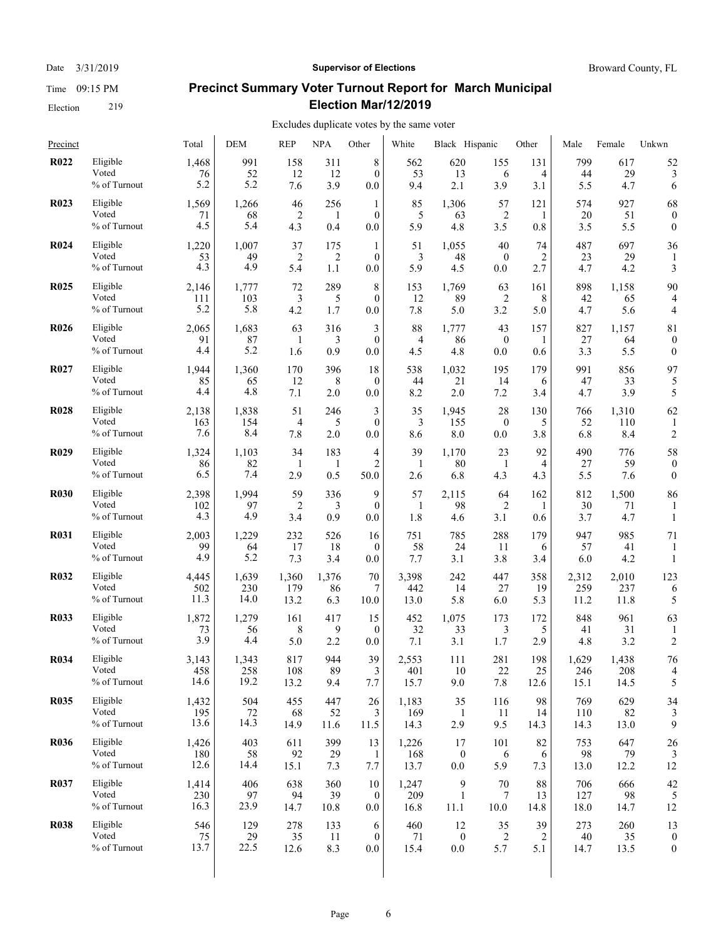#### Date  $3/31/2019$  **Supervisor of Elections** Broward County, FL

# **Precinct Summary Voter Turnout Report for March Municipal Election Mar/12/2019**

| Precinct    |                                   | Total                | DEM                | <b>REP</b>        | <b>NPA</b>       | Other                     | White                | Black Hispanic                |                           | Other           | Male              | Female             | Unkwn            |
|-------------|-----------------------------------|----------------------|--------------------|-------------------|------------------|---------------------------|----------------------|-------------------------------|---------------------------|-----------------|-------------------|--------------------|------------------|
| <b>R022</b> | Eligible                          | 1,468                | 991                | 158               | 311              | 8                         | 562                  | 620                           | 155                       | 131             | 799               | 617                | 52               |
|             | Voted                             | 76                   | 52                 | 12                | 12               | $\theta$                  | 53                   | 13                            | 6                         | 4               | 44                | 29                 | 3                |
|             | % of Turnout                      | 5.2                  | 5.2                | 7.6               | 3.9              | 0.0                       | 9.4                  | 2.1                           | 3.9                       | 3.1             | 5.5               | 4.7                | 6                |
| <b>R023</b> | Eligible                          | 1,569                | 1,266              | 46                | 256              | $\mathbf{1}$              | 85                   | 1,306                         | 57                        | 121             | 574               | 927                | 68               |
|             | Voted                             | 71                   | 68                 | 2                 | 1                | $\theta$                  | 5                    | 63                            | 2                         | 1               | 20                | 51                 | $\boldsymbol{0}$ |
|             | % of Turnout                      | 4.5                  | 5.4                | 4.3               | 0.4              | 0.0                       | 5.9                  | 4.8                           | 3.5                       | 0.8             | 3.5               | 5.5                | $\mathbf{0}$     |
| <b>R024</b> | Eligible<br>Voted<br>% of Turnout | 1,220<br>53<br>4.3   | 1,007<br>49<br>4.9 | 37<br>2<br>5.4    | 175<br>2<br>1.1  | 1<br>$\theta$<br>0.0      | 51<br>3<br>5.9       | 1,055<br>48<br>4.5            | 40<br>$\mathbf{0}$<br>0.0 | 74<br>2<br>2.7  | 487<br>23<br>4.7  | 697<br>29<br>4.2   | 36<br>3          |
| <b>R025</b> | Eligible                          | 2,146                | 1,777              | 72                | 289              | 8                         | 153                  | 1,769                         | 63                        | 161             | 898               | 1,158              | 90               |
|             | Voted                             | 111                  | 103                | 3                 | 5                | $\mathbf{0}$              | 12                   | 89                            | 2                         | 8               | 42                | 65                 | 4                |
|             | % of Turnout                      | 5.2                  | 5.8                | 4.2               | 1.7              | 0.0                       | 7.8                  | 5.0                           | 3.2                       | 5.0             | 4.7               | 5.6                | 4                |
| <b>R026</b> | Eligible                          | 2,065                | 1,683              | 63                | 316              | 3                         | 88                   | 1,777                         | 43                        | 157             | 827               | 1,157              | 81               |
|             | Voted                             | 91                   | 87                 | 1                 | 3                | $\mathbf{0}$              | 4                    | 86                            | $\boldsymbol{0}$          | 1               | 27                | 64                 | $\boldsymbol{0}$ |
|             | % of Turnout                      | 4.4                  | 5.2                | 1.6               | 0.9              | 0.0                       | 4.5                  | 4.8                           | 0.0                       | 0.6             | 3.3               | 5.5                | $\boldsymbol{0}$ |
| <b>R027</b> | Eligible                          | 1,944                | 1,360              | 170               | 396              | 18                        | 538                  | 1,032                         | 195                       | 179             | 991               | 856                | 97               |
|             | Voted                             | 85                   | 65                 | 12                | 8                | $\theta$                  | 44                   | 21                            | 14                        | 6               | 47                | 33                 | 5                |
|             | % of Turnout                      | 4.4                  | 4.8                | 7.1               | 2.0              | 0.0                       | 8.2                  | 2.0                           | 7.2                       | 3.4             | 4.7               | 3.9                | 5                |
| <b>R028</b> | Eligible                          | 2,138                | 1,838              | 51                | 246              | 3                         | 35                   | 1,945                         | 28                        | 130             | 766               | 1,310              | 62               |
|             | Voted                             | 163                  | 154                | 4                 | 5                | $\theta$                  | 3                    | 155                           | $\boldsymbol{0}$          | 5               | 52                | 110                | 1                |
|             | % of Turnout                      | 7.6                  | 8.4                | 7.8               | 2.0              | 0.0                       | 8.6                  | 8.0                           | 0.0                       | 3.8             | 6.8               | 8.4                | 2                |
| <b>R029</b> | Eligible                          | 1,324                | 1,103              | 34                | 183              | $\overline{4}$            | 39                   | 1,170                         | 23                        | 92              | 490               | 776                | 58               |
|             | Voted                             | 86                   | 82                 | -1                | 1                | $\overline{2}$            | 1                    | 80                            | 1                         | $\overline{4}$  | 27                | 59                 | $\boldsymbol{0}$ |
|             | % of Turnout                      | 6.5                  | 7.4                | 2.9               | 0.5              | 50.0                      | 2.6                  | 6.8                           | 4.3                       | 4.3             | 5.5               | 7.6                | $\mathbf{0}$     |
| <b>R030</b> | Eligible<br>Voted<br>% of Turnout | 2,398<br>102<br>4.3  | 1.994<br>97<br>4.9 | 59<br>2<br>3.4    | 336<br>3<br>0.9  | 9<br>$\theta$<br>0.0      | 57<br>1<br>1.8       | 2,115<br>98<br>4.6            | 64<br>2<br>3.1            | 162<br>1<br>0.6 | 812<br>30<br>3.7  | 1,500<br>71<br>4.7 | 86<br>1          |
| <b>R031</b> | Eligible<br>Voted<br>% of Turnout | 2,003<br>99<br>4.9   | 1,229<br>64<br>5.2 | 232<br>17<br>7.3  | 526<br>18<br>3.4 | 16<br>$\mathbf{0}$<br>0.0 | 751<br>58<br>7.7     | 785<br>24<br>3.1              | 288<br>11<br>3.8          | 179<br>6<br>3.4 | 947<br>57<br>6.0  | 985<br>41<br>4.2   | 71<br>1          |
| <b>R032</b> | Eligible                          | 4,445                | 1,639              | 1,360             | 1,376            | 70                        | 3,398                | 242                           | 447                       | 358             | 2,312             | 2,010              | 123              |
|             | Voted                             | 502                  | 230                | 179               | 86               | 7                         | 442                  | 14                            | 27                        | 19              | 259               | 237                | 6                |
|             | % of Turnout                      | 11.3                 | 14.0               | 13.2              | 6.3              | 10.0                      | 13.0                 | 5.8                           | 6.0                       | 5.3             | 11.2              | 11.8               | 5                |
| <b>R033</b> | Eligible                          | 1,872                | 1,279              | 161               | 417              | 15                        | 452                  | 1,075                         | 173                       | 172             | 848               | 961                | 63               |
|             | Voted                             | 73                   | 56                 | 8                 | 9                | $\theta$                  | 32                   | 33                            | 3                         | 5               | 41                | 31                 | 1                |
|             | % of Turnout                      | 3.9                  | 4.4                | 5.0               | 2.2              | 0.0                       | 7.1                  | 3.1                           | 1.7                       | 2.9             | 4.8               | 3.2                | 2                |
| <b>R034</b> | Eligible                          | 3,143                | 1,343              | 817               | 944              | 39                        | 2,553                | 111                           | 281                       | 198             | 1,629             | 1,438              | 76               |
|             | Voted                             | 458                  | 258                | 108               | 89               | 3                         | 401                  | 10                            | 22                        | 25              | 246               | 208                | 4                |
|             | % of Turnout                      | 14.6                 | 19.2               | 13.2              | 9.4              | 7.7                       | 15.7                 | 9.0                           | 7.8                       | 12.6            | 15.1              | 14.5               | 5                |
| <b>R035</b> | Eligible                          | 1,432                | 504                | 455               | 447              | 26                        | 1,183                | 35                            | 116                       | 98              | 769               | 629                | 34               |
|             | Voted                             | 195                  | 72                 | 68                | 52               | 3                         | 169                  | 1                             | 11                        | 14              | 110               | 82                 | 3                |
|             | % of Turnout                      | 13.6                 | 14.3               | 14.9              | 11.6             | 11.5                      | 14.3                 | 2.9                           | 9.5                       | 14.3            | 14.3              | 13.0               | 9                |
| <b>R036</b> | Eligible<br>Voted<br>% of Turnout | 1,426<br>180<br>12.6 | 403<br>58<br>14.4  | 611<br>92<br>15.1 | 399<br>29<br>7.3 | 13<br>1<br>7.7            | 1,226<br>168<br>13.7 | 17<br>$\boldsymbol{0}$<br>0.0 | 101<br>6<br>5.9           | 82<br>6<br>7.3  | 753<br>98<br>13.0 | 647<br>79<br>12.2  | 26<br>12         |
| <b>R037</b> | Eligible                          | 1,414                | 406                | 638               | 360              | 10                        | 1,247                | 9                             | 70                        | 88              | 706               | 666                | 42               |
|             | Voted                             | 230                  | 97                 | 94                | 39               | $\mathbf{0}$              | 209                  | 1                             | 7                         | 13              | 127               | 98                 | 5                |
|             | % of Turnout                      | 16.3                 | 23.9               | 14.7              | 10.8             | $0.0\,$                   | 16.8                 | 11.1                          | 10.0                      | 14.8            | 18.0              | 14.7               | 12               |
| <b>R038</b> | Eligible                          | 546                  | 129                | 278               | 133              | 6                         | 460                  | 12                            | 35                        | 39              | 273               | 260                | 13               |
|             | Voted                             | 75                   | 29                 | 35                | 11               | $\mathbf{0}$              | 71                   | $\mathbf{0}$                  | 2                         | 2               | $40\,$            | 35                 | $\boldsymbol{0}$ |
|             | % of Turnout                      | 13.7                 | 22.5               | 12.6              | 8.3              | $0.0\,$                   | 15.4                 | 0.0                           | 5.7                       | 5.1             | 14.7              | 13.5               | $\boldsymbol{0}$ |
|             |                                   |                      |                    |                   |                  |                           |                      |                               |                           |                 |                   |                    |                  |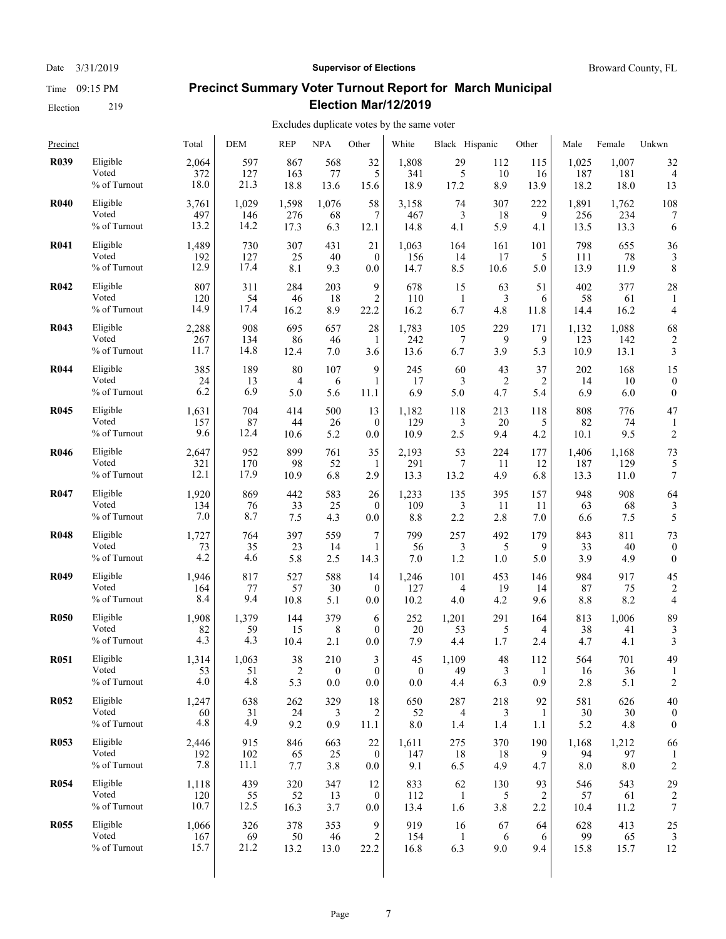Time 09:15 PM

# Election 219

#### Date  $3/31/2019$  **Supervisor of Elections** Broward County, FL

# **Precinct Summary Voter Turnout Report for March Municipal Election Mar/12/2019**

| Precinct    |                                   | Total               | <b>DEM</b>         | <b>REP</b>        | NPA              | Other                       | White               | Black Hispanic   |                   | Other           | Male               | Female             | Unkwn                |
|-------------|-----------------------------------|---------------------|--------------------|-------------------|------------------|-----------------------------|---------------------|------------------|-------------------|-----------------|--------------------|--------------------|----------------------|
| <b>R039</b> | Eligible                          | 2,064               | 597                | 867               | 568              | 32                          | 1,808               | 29               | 112               | 115             | 1,025              | 1,007              | 32                   |
|             | Voted                             | 372                 | 127                | 163               | 77               | 5                           | 341                 | 5                | 10                | 16              | 187                | 181                | $\overline{4}$       |
|             | % of Turnout                      | 18.0                | 21.3               | 18.8              | 13.6             | 15.6                        | 18.9                | 17.2             | 8.9               | 13.9            | 18.2               | 18.0               | 13                   |
| <b>R040</b> | Eligible                          | 3,761               | 1,029              | 1,598             | 1,076            | 58                          | 3,158               | 74               | 307               | 222             | 1,891              | 1,762              | 108                  |
|             | Voted                             | 497                 | 146                | 276               | 68               | 7                           | 467                 | 3                | 18                | 9               | 256                | 234                | 7                    |
|             | % of Turnout                      | 13.2                | 14.2               | 17.3              | 6.3              | 12.1                        | 14.8                | 4.1              | 5.9               | 4.1             | 13.5               | 13.3               | 6                    |
| <b>R041</b> | Eligible                          | 1,489               | 730                | 307               | 431              | 21                          | 1,063               | 164              | 161               | 101             | 798                | 655                | 36                   |
|             | Voted                             | 192                 | 127                | 25                | 40               | $\mathbf{0}$                | 156                 | 14               | 17                | 5               | 111                | 78                 | 3                    |
|             | $\%$ of Turnout                   | 12.9                | 17.4               | 8.1               | 9.3              | 0.0                         | 14.7                | 8.5              | 10.6              | 5.0             | 13.9               | 11.9               | 8                    |
| <b>R042</b> | Eligible<br>Voted<br>% of Turnout | 807<br>120<br>14.9  | 311<br>54<br>17.4  | 284<br>46<br>16.2 | 203<br>18<br>8.9 | 9<br>$\overline{2}$<br>22.2 | 678<br>110<br>16.2  | 15<br>-1<br>6.7  | 63<br>3<br>4.8    | 51<br>6<br>11.8 | 402<br>58<br>14.4  | 377<br>61<br>16.2  | 28<br>4              |
| <b>R043</b> | Eligible                          | 2,288               | 908                | 695               | 657              | 28                          | 1,783               | 105              | 229               | 171             | 1,132              | 1,088              | 68                   |
|             | Voted                             | 267                 | 134                | 86                | 46               | 1                           | 242                 | 7                | 9                 | 9               | 123                | 142                | $\overline{2}$       |
|             | % of Turnout                      | 11.7                | 14.8               | 12.4              | 7.0              | 3.6                         | 13.6                | 6.7              | 3.9               | 5.3             | 10.9               | 13.1               | 3                    |
| <b>R044</b> | Eligible                          | 385                 | 189                | 80                | 107              | 9                           | 245                 | 60               | 43                | 37              | 202                | 168                | 15                   |
|             | Voted                             | 24                  | 13                 | $\overline{4}$    | 6                | 1                           | 17                  | 3                | 2                 | 2               | 14                 | 10                 | $\boldsymbol{0}$     |
|             | % of Turnout                      | 6.2                 | 6.9                | 5.0               | 5.6              | 11.1                        | 6.9                 | 5.0              | 4.7               | 5.4             | 6.9                | 6.0                | $\mathbf{0}$         |
| <b>R045</b> | Eligible                          | 1,631               | 704                | 414               | 500              | 13                          | 1,182               | 118              | 213               | 118             | 808                | 776                | 47                   |
|             | Voted                             | 157                 | 87                 | 44                | 26               | $\mathbf{0}$                | 129                 | 3                | 20                | 5               | 82                 | 74                 | 1                    |
|             | % of Turnout                      | 9.6                 | 12.4               | 10.6              | 5.2              | $_{0.0}$                    | 10.9                | 2.5              | 9.4               | 4.2             | 10.1               | 9.5                | 2                    |
| <b>R046</b> | Eligible                          | 2,647               | 952                | 899               | 761              | 35                          | 2,193               | 53               | 224               | 177             | 1,406              | 1,168              | 73                   |
|             | Voted                             | 321                 | 170                | 98                | 52               | -1                          | 291                 | 7                | 11                | 12              | 187                | 129                | 5                    |
|             | % of Turnout                      | 12.1                | 17.9               | 10.9              | 6.8              | 2.9                         | 13.3                | 13.2             | 4.9               | 6.8             | 13.3               | 11.0               | 7                    |
| <b>R047</b> | Eligible                          | 1,920               | 869                | 442               | 583              | 26                          | 1,233               | 135              | 395               | 157             | 948                | 908                | 64                   |
|             | Voted                             | 134                 | 76                 | 33                | 25               | $\theta$                    | 109                 | 3                | 11                | 11              | 63                 | 68                 | 3                    |
|             | % of Turnout                      | 7.0                 | 8.7                | 7.5               | 4.3              | 0.0                         | 8.8                 | 2.2              | 2.8               | 7.0             | 6.6                | 7.5                | 5                    |
| <b>R048</b> | Eligible                          | 1,727               | 764                | 397               | 559              | 7                           | 799                 | 257              | 492               | 179             | 843                | 811                | 73                   |
|             | Voted                             | 73                  | 35                 | 23                | 14               | 1                           | 56                  | 3                | 5                 | 9               | 33                 | 40                 | $\boldsymbol{0}$     |
|             | % of Turnout                      | 4.2                 | 4.6                | 5.8               | 2.5              | 14.3                        | 7.0                 | 1.2              | 1.0               | 5.0             | 3.9                | 4.9                | $\theta$             |
| <b>R049</b> | Eligible                          | 1,946               | 817                | 527               | 588              | 14                          | 1,246               | 101              | 453               | 146             | 984                | 917                | 45                   |
|             | Voted                             | 164                 | 77                 | 57                | 30               | $\mathbf{0}$                | 127                 | 4                | 19                | 14              | 87                 | 75                 | $\overline{c}$       |
|             | % of Turnout                      | 8.4                 | 9.4                | 10.8              | 5.1              | 0.0                         | 10.2                | 4.0              | 4.2               | 9.6             | $8.8\,$            | 8.2                | 4                    |
| <b>R050</b> | Eligible                          | 1,908               | 1,379              | 144               | 379              | 6                           | 252                 | 1,201            | 291               | 164             | 813                | 1,006              | 89                   |
|             | Voted                             | 82                  | 59                 | 15                | 8                | $\theta$                    | 20                  | 53               | 5                 | 4               | 38                 | 41                 | 3                    |
|             | % of Turnout                      | 4.3                 | 4.3                | 10.4              | 2.1              | 0.0                         | 7.9                 | 4.4              | 1.7               | 2.4             | 4.7                | 4.1                | 3                    |
| <b>R051</b> | Eligible                          | 1,314               | 1,063              | 38                | 210              | 3                           | 45                  | 1,109            | 48                | 112             | 564                | 701                | 49                   |
|             | Voted                             | 53                  | 51                 | $\overline{2}$    | $\boldsymbol{0}$ | $\Omega$                    | $\mathbf{0}$        | 49               | 3                 | $\mathbf{1}$    | 16                 | 36                 | 1                    |
|             | % of Turnout                      | 4.0                 | 4.8                | 5.3               | 0.0              | 0.0                         | 0.0                 | 4.4              | 6.3               | 0.9             | 2.8                | 5.1                | 2                    |
| <b>R052</b> | Eligible                          | 1,247               | 638                | 262               | 329              | 18                          | 650                 | 287              | 218               | 92              | 581                | 626                | 40                   |
|             | Voted                             | 60                  | 31                 | 24                | 3                | 2                           | 52                  | 4                | 3                 | 1               | 30                 | 30                 | 0                    |
|             | % of Turnout                      | 4.8                 | 4.9                | 9.2               | 0.9              | 11.1                        | 8.0                 | 1.4              | 1.4               | 1.1             | 5.2                | 4.8                | $\boldsymbol{0}$     |
| <b>R053</b> | Eligible<br>Voted<br>% of Turnout | 2,446<br>192<br>7.8 | 915<br>102<br>11.1 | 846<br>65<br>7.7  | 663<br>25<br>3.8 | 22<br>$\mathbf{0}$<br>0.0   | 1,611<br>147<br>9.1 | 275<br>18<br>6.5 | 370<br>-18<br>4.9 | 190<br>9<br>4.7 | 1,168<br>94<br>8.0 | 1,212<br>97<br>8.0 | 66<br>$\overline{c}$ |
| <b>R054</b> | Eligible                          | 1,118               | 439                | 320               | 347              | 12                          | 833                 | 62               | 130               | 93              | 546                | 543                | 29                   |
|             | Voted                             | 120                 | 55                 | 52                | 13               | $\mathbf{0}$                | 112                 | -1               | 5                 | 2               | 57                 | 61                 | $\overline{2}$       |
|             | % of Turnout                      | 10.7                | 12.5               | 16.3              | 3.7              | 0.0                         | 13.4                | 1.6              | 3.8               | 2.2             | 10.4               | 11.2               | 7                    |
| <b>R055</b> | Eligible                          | 1,066               | 326                | 378               | 353              | 9                           | 919                 | 16               | 67                | 64              | 628                | 413                | 25                   |
|             | Voted                             | 167                 | 69                 | 50                | 46               | $\overline{c}$              | 154                 | $\mathbf{1}$     | 6                 | 6               | 99                 | 65                 | 3                    |
|             | % of Turnout                      | 15.7                | 21.2               | 13.2              | 13.0             | 22.2                        | 16.8                | 6.3              | 9.0               | 9.4             | 15.8               | 15.7               | 12                   |
|             |                                   |                     |                    |                   |                  |                             |                     |                  |                   |                 |                    |                    |                      |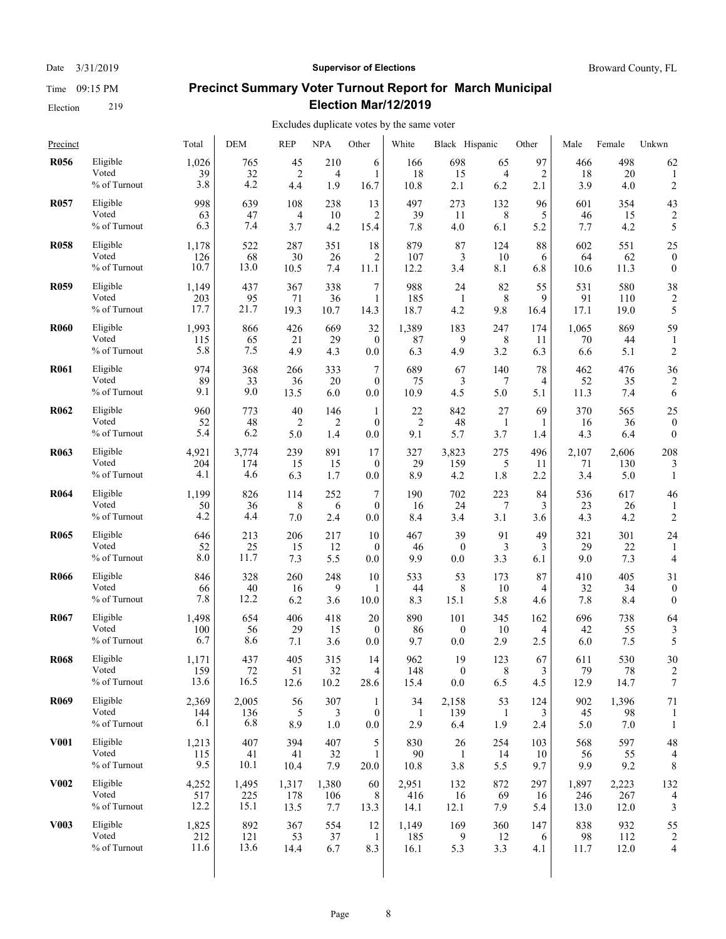#### Date  $3/31/2019$  **Supervisor of Elections** Broward County, FL

# **Precinct Summary Voter Turnout Report for March Municipal Election Mar/12/2019**

| Precinct    |                                   | Total               | DEM               | <b>REP</b>       | NPA              | Other                         | White              | Black Hispanic        |                 | Other            | Male               | Female           | Unkwn                |
|-------------|-----------------------------------|---------------------|-------------------|------------------|------------------|-------------------------------|--------------------|-----------------------|-----------------|------------------|--------------------|------------------|----------------------|
| <b>R056</b> | Eligible                          | 1,026               | 765               | 45               | 210              | 6                             | 166                | 698                   | 65              | 97               | 466                | 498              | 62                   |
|             | Voted                             | 39                  | 32                | $\overline{2}$   | $\overline{4}$   | 1                             | 18                 | 15                    | 4               | 2                | 18                 | 20               | 1                    |
|             | % of Turnout                      | 3.8                 | 4.2               | 4.4              | 1.9              | 16.7                          | 10.8               | 2.1                   | 6.2             | 2.1              | 3.9                | 4.0              | $\overline{c}$       |
| <b>R057</b> | Eligible                          | 998                 | 639               | 108              | 238              | 13                            | 497                | 273                   | 132             | 96               | 601                | 354              | 43                   |
|             | Voted                             | 63                  | 47                | 4                | 10               | 2                             | 39                 | 11                    | 8               | 5                | 46                 | 15               | $\overline{c}$       |
|             | % of Turnout                      | 6.3                 | 7.4               | 3.7              | 4.2              | 15.4                          | 7.8                | 4.0                   | 6.1             | 5.2              | 7.7                | 4.2              | 5                    |
| <b>R058</b> | Eligible                          | 1,178               | 522               | 287              | 351              | 18                            | 879                | 87                    | 124             | 88               | 602                | 551              | 25                   |
|             | Voted                             | 126                 | 68                | 30               | 26               | 2                             | 107                | 3                     | 10              | 6                | 64                 | 62               | $\boldsymbol{0}$     |
|             | $\%$ of Turnout                   | 10.7                | 13.0              | 10.5             | 7.4              | 11.1                          | 12.2               | 3.4                   | 8.1             | 6.8              | 10.6               | 11.3             | $\mathbf{0}$         |
| <b>R059</b> | Eligible                          | 1,149               | 437               | 367              | 338              | 7                             | 988                | 24                    | 82              | 55               | 531                | 580              | 38                   |
|             | Voted                             | 203                 | 95                | 71               | 36               | 1                             | 185                | -1                    | 8               | 9                | 91                 | 110              | 2                    |
|             | % of Turnout                      | 17.7                | 21.7              | 19.3             | 10.7             | 14.3                          | 18.7               | 4.2                   | 9.8             | 16.4             | 17.1               | 19.0             | 5                    |
| <b>R060</b> | Eligible<br>Voted<br>% of Turnout | 1,993<br>115<br>5.8 | 866<br>65<br>7.5  | 426<br>21<br>4.9 | 669<br>29<br>4.3 | 32<br>$\mathbf{0}$<br>0.0     | 1,389<br>87<br>6.3 | 183<br>9<br>4.9       | 247<br>8<br>3.2 | 174<br>11<br>6.3 | 1,065<br>70<br>6.6 | 869<br>44<br>5.1 | 59<br>$\overline{c}$ |
| <b>R061</b> | Eligible                          | 974                 | 368               | 266              | 333              | 7                             | 689                | 67                    | 140             | 78               | 462                | 476              | 36                   |
|             | Voted                             | 89                  | 33                | 36               | 20               | $\mathbf{0}$                  | 75                 | 3                     | 7               | 4                | 52                 | 35               | $\overline{2}$       |
|             | % of Turnout                      | 9.1                 | 9.0               | 13.5             | 6.0              | 0.0                           | 10.9               | 4.5                   | 5.0             | 5.1              | 11.3               | 7.4              | 6                    |
| <b>R062</b> | Eligible                          | 960                 | 773               | 40               | 146              | 1                             | 22                 | 842                   | 27              | 69               | 370                | 565              | 25                   |
|             | Voted                             | 52                  | 48                | $\overline{2}$   | 2                | $\mathbf{0}$                  | $\overline{2}$     | 48                    | 1               | 1                | 16                 | 36               | $\boldsymbol{0}$     |
|             | % of Turnout                      | 5.4                 | 6.2               | 5.0              | 1.4              | 0.0                           | 9.1                | 5.7                   | 3.7             | 1.4              | 4.3                | 6.4              | $\mathbf{0}$         |
| <b>R063</b> | Eligible                          | 4,921               | 3,774             | 239              | 891              | 17                            | 327                | 3,823                 | 275             | 496              | 2,107              | 2,606            | 208                  |
|             | Voted                             | 204                 | 174               | 15               | 15               | $\mathbf{0}$                  | 29                 | 159                   | 5               | 11               | 71                 | 130              | 3                    |
|             | % of Turnout                      | 4.1                 | 4.6               | 6.3              | 1.7              | 0.0                           | 8.9                | 4.2                   | 1.8             | 2.2              | 3.4                | 5.0              | 1                    |
| <b>R064</b> | Eligible<br>Voted<br>% of Turnout | 1,199<br>50<br>4.2  | 826<br>36<br>4.4  | 114<br>8<br>7.0  | 252<br>6<br>2.4  | $\tau$<br>$\mathbf{0}$<br>0.0 | 190<br>16<br>8.4   | 702<br>24<br>3.4      | 223<br>7<br>3.1 | 84<br>3<br>3.6   | 536<br>23<br>4.3   | 617<br>26<br>4.2 | 46<br>$\overline{2}$ |
| <b>R065</b> | Eligible<br>Voted<br>% of Turnout | 646<br>52<br>8.0    | 213<br>25<br>11.7 | 206<br>15<br>7.3 | 217<br>12<br>5.5 | 10<br>$\theta$<br>0.0         | 467<br>46<br>9.9   | 39<br>$\bf{0}$<br>0.0 | 91<br>3<br>3.3  | 49<br>3<br>6.1   | 321<br>29<br>9.0   | 301<br>22<br>7.3 | 24<br>4              |
| <b>R066</b> | Eligible                          | 846                 | 328               | 260              | 248              | 10                            | 533                | 53                    | 173             | 87               | 410                | 405              | 31                   |
|             | Voted                             | 66                  | 40                | 16               | 9                | 1                             | 44                 | 8                     | 10              | 4                | 32                 | 34               | $\theta$             |
|             | % of Turnout                      | 7.8                 | 12.2              | 6.2              | 3.6              | 10.0                          | 8.3                | 15.1                  | 5.8             | 4.6              | 7.8                | 8.4              | $\boldsymbol{0}$     |
| <b>R067</b> | Eligible                          | 1,498               | 654               | 406              | 418              | 20                            | 890                | 101                   | 345             | 162              | 696                | 738              | 64                   |
|             | Voted                             | 100                 | 56                | 29               | 15               | $\theta$                      | 86                 | $\bf{0}$              | 10              | 4                | 42                 | 55               | 3                    |
|             | % of Turnout                      | 6.7                 | 8.6               | 7.1              | 3.6              | 0.0                           | 9.7                | 0.0                   | 2.9             | 2.5              | 6.0                | 7.5              | 5                    |
| <b>R068</b> | Eligible                          | 1,171               | 437               | 405              | 315              | 14                            | 962                | 19                    | 123             | 67               | 611                | 530              | 30                   |
|             | Voted                             | 159                 | 72                | 51               | 32               | 4                             | 148                | $\mathbf{0}$          | 8               | 3                | 79                 | 78               | 2                    |
|             | % of Turnout                      | 13.6                | 16.5              | 12.6             | 10.2             | 28.6                          | 15.4               | 0.0                   | 6.5             | 4.5              | 12.9               | 14.7             | 7                    |
| <b>R069</b> | Eligible                          | 2,369               | 2,005             | 56               | 307              | 1                             | 34                 | 2,158                 | 53              | 124              | 902                | 1,396            | 71                   |
|             | Voted                             | 144                 | 136               | 5                | 3                | $\mathbf{0}$                  | 1                  | 139                   | 1               | 3                | 45                 | 98               | 1                    |
|             | % of Turnout                      | 6.1                 | 6.8               | 8.9              | 1.0              | 0.0                           | 2.9                | 6.4                   | 1.9             | 2.4              | 5.0                | 7.0              | 1                    |
| <b>V001</b> | Eligible                          | 1,213               | 407               | 394              | 407              | 5                             | 830                | 26                    | 254             | 103              | 568                | 597              | 48                   |
|             | Voted                             | 115                 | 41                | 41               | 32               | 1                             | 90                 | -1                    | 14              | 10               | 56                 | 55               | 4                    |
|             | % of Turnout                      | 9.5                 | 10.1              | 10.4             | 7.9              | 20.0                          | 10.8               | 3.8                   | 5.5             | 9.7              | 9.9                | 9.2              | 8                    |
| <b>V002</b> | Eligible                          | 4,252               | 1,495             | 1,317            | 1,380            | 60                            | 2,951              | 132                   | 872             | 297              | 1,897              | 2,223            | 132                  |
|             | Voted                             | 517                 | 225               | 178              | 106              | 8                             | 416                | 16                    | 69              | 16               | 246                | 267              | 4                    |
|             | % of Turnout                      | 12.2                | 15.1              | 13.5             | 7.7              | 13.3                          | 14.1               | 12.1                  | 7.9             | 5.4              | 13.0               | 12.0             | 3                    |
| <b>V003</b> | Eligible                          | 1,825               | 892               | 367              | 554              | 12                            | 1,149              | 169                   | 360             | 147              | 838                | 932              | 55                   |
|             | Voted                             | 212                 | 121               | 53               | 37               | $\mathbf{1}$                  | 185                | 9                     | 12              | 6                | 98                 | 112              | $\overline{2}$       |
|             | % of Turnout                      | 11.6                | 13.6              | 14.4             | 6.7              | 8.3                           | 16.1               | 5.3                   | 3.3             | 4.1              | 11.7               | 12.0             | 4                    |
|             |                                   |                     |                   |                  |                  |                               |                    |                       |                 |                  |                    |                  |                      |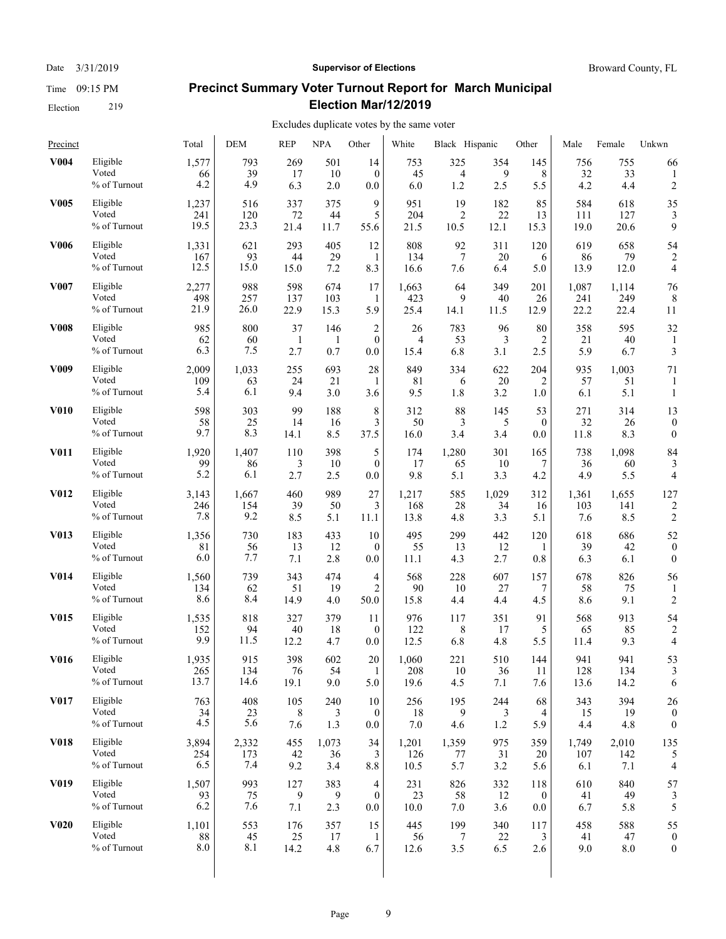#### Date  $3/31/2019$  **Supervisor of Elections** Broward County, FL

# **Precinct Summary Voter Turnout Report for March Municipal Election Mar/12/2019**

| Precinct          |              | Total | DEM   | <b>REP</b> | <b>NPA</b> | Other          | White | Black Hispanic |       | Other        | Male  | Female | Unkwn            |
|-------------------|--------------|-------|-------|------------|------------|----------------|-------|----------------|-------|--------------|-------|--------|------------------|
| <b>V004</b>       | Eligible     | 1,577 | 793   | 269        | 501        | 14             | 753   | 325            | 354   | 145          | 756   | 755    | 66               |
|                   | Voted        | 66    | 39    | 17         | 10         | $\mathbf{0}$   | 45    | 4              | 9     | 8            | 32    | 33     | 1                |
|                   | % of Turnout | 4.2   | 4.9   | 6.3        | 2.0        | 0.0            | 6.0   | 1.2            | 2.5   | 5.5          | 4.2   | 4.4    | 2                |
| <b>V005</b>       | Eligible     | 1,237 | 516   | 337        | 375        | 9              | 951   | 19             | 182   | 85           | 584   | 618    | 35               |
|                   | Voted        | 241   | 120   | 72         | 44         | 5              | 204   | $\overline{2}$ | 22    | 13           | 111   | 127    | 3                |
|                   | % of Turnout | 19.5  | 23.3  | 21.4       | 11.7       | 55.6           | 21.5  | 10.5           | 12.1  | 15.3         | 19.0  | 20.6   | 9                |
| <b>V006</b>       | Eligible     | 1,331 | 621   | 293        | 405        | 12             | 808   | 92             | 311   | 120          | 619   | 658    | 54               |
|                   | Voted        | 167   | 93    | 44         | 29         | 1              | 134   | 7              | 20    | 6            | 86    | 79     | 2                |
|                   | % of Turnout | 12.5  | 15.0  | 15.0       | 7.2        | 8.3            | 16.6  | 7.6            | 6.4   | 5.0          | 13.9  | 12.0   | 4                |
| <b>V007</b>       | Eligible     | 2,277 | 988   | 598        | 674        | 17             | 1,663 | 64             | 349   | 201          | 1,087 | 1,114  | 76               |
|                   | Voted        | 498   | 257   | 137        | 103        | 1              | 423   | 9              | 40    | 26           | 241   | 249    | 8                |
|                   | % of Turnout | 21.9  | 26.0  | 22.9       | 15.3       | 5.9            | 25.4  | 14.1           | 11.5  | 12.9         | 22.2  | 22.4   | 11               |
| <b>V008</b>       | Eligible     | 985   | 800   | 37         | 146        | $\overline{c}$ | 26    | 783            | 96    | 80           | 358   | 595    | 32               |
|                   | Voted        | 62    | 60    | 1          | -1         | $\mathbf{0}$   | 4     | 53             | 3     | 2            | 21    | 40     | 1                |
|                   | % of Turnout | 6.3   | 7.5   | 2.7        | 0.7        | 0.0            | 15.4  | 6.8            | 3.1   | 2.5          | 5.9   | 6.7    | 3                |
| V <sub>009</sub>  | Eligible     | 2,009 | 1,033 | 255        | 693        | 28             | 849   | 334            | 622   | 204          | 935   | 1,003  | 71               |
|                   | Voted        | 109   | 63    | 24         | 21         | 1              | 81    | 6              | 20    | 2            | 57    | 51     | 1                |
|                   | % of Turnout | 5.4   | 6.1   | 9.4        | 3.0        | 3.6            | 9.5   | 1.8            | 3.2   | 1.0          | 6.1   | 5.1    | $\mathbf{1}$     |
| <b>V010</b>       | Eligible     | 598   | 303   | 99         | 188        | 8              | 312   | 88             | 145   | 53           | 271   | 314    | 13               |
|                   | Voted        | 58    | 25    | 14         | 16         | 3              | 50    | 3              | 5     | $\mathbf{0}$ | 32    | 26     | $\boldsymbol{0}$ |
|                   | % of Turnout | 9.7   | 8.3   | 14.1       | 8.5        | 37.5           | 16.0  | 3.4            | 3.4   | 0.0          | 11.8  | 8.3    | $\mathbf{0}$     |
| <b>V011</b>       | Eligible     | 1,920 | 1,407 | 110        | 398        | 5              | 174   | 1,280          | 301   | 165          | 738   | 1,098  | 84               |
|                   | Voted        | 99    | 86    | 3          | 10         | $\theta$       | 17    | 65             | 10    | 7            | 36    | 60     | 3                |
|                   | % of Turnout | 5.2   | 6.1   | 2.7        | 2.5        | 0.0            | 9.8   | 5.1            | 3.3   | 4.2          | 4.9   | 5.5    | 4                |
| <b>V012</b>       | Eligible     | 3,143 | 1,667 | 460        | 989        | 27             | 1,217 | 585            | 1,029 | 312          | 1,361 | 1,655  | 127              |
|                   | Voted        | 246   | 154   | 39         | 50         | 3              | 168   | 28             | 34    | 16           | 103   | 141    | 2                |
|                   | % of Turnout | 7.8   | 9.2   | 8.5        | 5.1        | 11.1           | 13.8  | 4.8            | 3.3   | 5.1          | 7.6   | 8.5    | $\overline{c}$   |
| <b>V013</b>       | Eligible     | 1,356 | 730   | 183        | 433        | 10             | 495   | 299            | 442   | 120          | 618   | 686    | 52               |
|                   | Voted        | 81    | 56    | 13         | 12         | $\overline{0}$ | 55    | 13             | 12    | 1            | 39    | 42     | $\overline{0}$   |
|                   | % of Turnout | 6.0   | 7.7   | 7.1        | 2.8        | 0.0            | 11.1  | 4.3            | 2.7   | 0.8          | 6.3   | 6.1    | $\theta$         |
| <b>V014</b>       | Eligible     | 1,560 | 739   | 343        | 474        | 4              | 568   | 228            | 607   | 157          | 678   | 826    | 56               |
|                   | Voted        | 134   | 62    | 51         | 19         | 2              | 90    | 10             | 27    | 7            | 58    | 75     | 1                |
|                   | % of Turnout | 8.6   | 8.4   | 14.9       | 4.0        | 50.0           | 15.8  | 4.4            | 4.4   | 4.5          | 8.6   | 9.1    | $\overline{c}$   |
| <b>V015</b>       | Eligible     | 1,535 | 818   | 327        | 379        | 11             | 976   | 117            | 351   | 91           | 568   | 913    | 54               |
|                   | Voted        | 152   | 94    | 40         | 18         | $\mathbf{0}$   | 122   | 8              | 17    | 5            | 65    | 85     | 2                |
|                   | % of Turnout | 9.9   | 11.5  | 12.2       | 4.7        | 0.0            | 12.5  | 6.8            | 4.8   | 5.5          | 11.4  | 9.3    | 4                |
| <b>V016</b>       | Eligible     | 1,935 | 915   | 398        | 602        | 20             | 1,060 | 221            | 510   | 144          | 941   | 941    | 53               |
|                   | Voted        | 265   | 134   | 76         | 54         | 1              | 208   | 10             | 36    | 11           | 128   | 134    | 3                |
|                   | % of Turnout | 13.7  | 14.6  | 19.1       | 9.0        | 5.0            | 19.6  | 4.5            | 7.1   | 7.6          | 13.6  | 14.2   | 6                |
| V017              | Eligible     | 763   | 408   | 105        | 240        | 10             | 256   | 195            | 244   | 68           | 343   | 394    | 26               |
|                   | Voted        | 34    | 23    | 8          | 3          | $\mathbf{0}$   | 18    | 9              | 3     | 4            | 15    | 19     | $\boldsymbol{0}$ |
|                   | % of Turnout | 4.5   | 5.6   | 7.6        | 1.3        | $0.0\,$        | 7.0   | 4.6            | 1.2   | 5.9          | 4.4   | 4.8    | $\boldsymbol{0}$ |
| <b>V018</b>       | Eligible     | 3,894 | 2,332 | 455        | 1,073      | 34             | 1,201 | 1,359          | 975   | 359          | 1,749 | 2,010  | 135              |
|                   | Voted        | 254   | 173   | 42         | 36         | 3              | 126   | 77             | 31    | 20           | 107   | 142    | 5                |
|                   | % of Turnout | 6.5   | 7.4   | 9.2        | 3.4        | $8.8\,$        | 10.5  | 5.7            | 3.2   | 5.6          | 6.1   | 7.1    | 4                |
| V <sub>0</sub> 19 | Eligible     | 1,507 | 993   | 127        | 383        | 4              | 231   | 826            | 332   | 118          | 610   | 840    | 57               |
|                   | Voted        | 93    | 75    | 9          | 9          | $\mathbf{0}$   | 23    | 58             | 12    | $\mathbf{0}$ | 41    | 49     | 3                |
|                   | % of Turnout | 6.2   | 7.6   | 7.1        | 2.3        | 0.0            | 10.0  | 7.0            | 3.6   | $0.0\,$      | 6.7   | 5.8    | 5                |
| <b>V020</b>       | Eligible     | 1,101 | 553   | 176        | 357        | 15             | 445   | 199            | 340   | 117          | 458   | 588    | 55               |
|                   | Voted        | 88    | 45    | 25         | 17         | -1             | 56    | $\tau$         | 22    | 3            | 41    | 47     | $\overline{0}$   |
|                   | % of Turnout | 8.0   | 8.1   | 14.2       | 4.8        | 6.7            | 12.6  | 3.5            | 6.5   | 2.6          | 9.0   | 8.0    | $\boldsymbol{0}$ |
|                   |              |       |       |            |            |                |       |                |       |              |       |        |                  |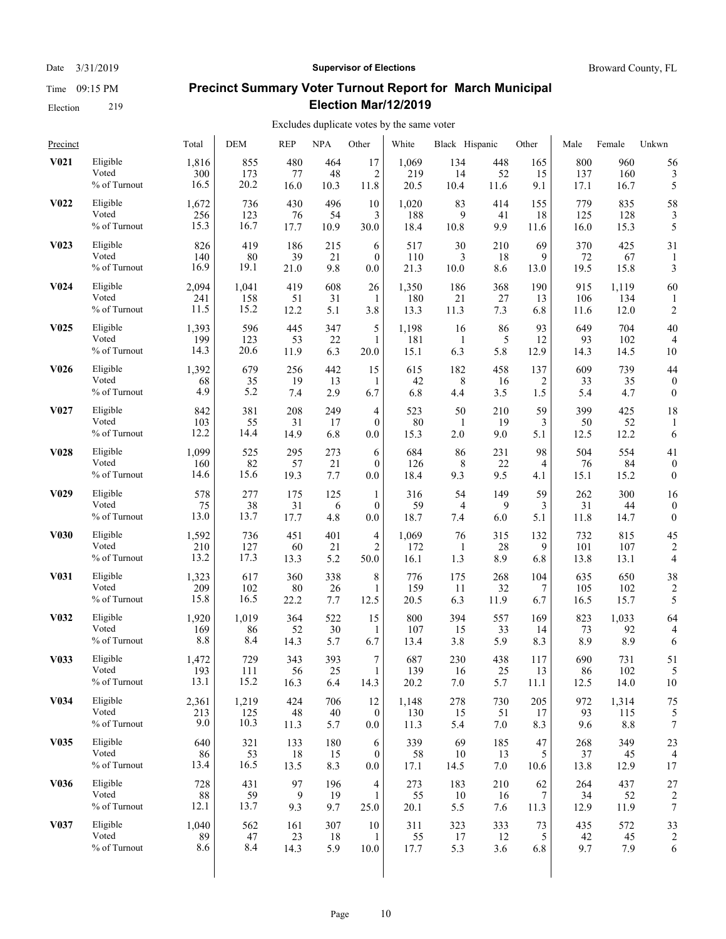#### Date  $3/31/2019$  **Supervisor of Elections** Broward County, FL

# **Precinct Summary Voter Turnout Report for March Municipal Election Mar/12/2019**

| Precinct          |                                   | Total                | DEM                  | <b>REP</b>        | <b>NPA</b>       | Other          | White                | Black Hispanic    |                  | Other            | Male               | Female               | Unkwn                |
|-------------------|-----------------------------------|----------------------|----------------------|-------------------|------------------|----------------|----------------------|-------------------|------------------|------------------|--------------------|----------------------|----------------------|
| V <sub>0</sub> 21 | Eligible                          | 1,816                | 855                  | 480               | 464              | 17             | 1,069                | 134               | 448              | 165              | 800                | 960                  | 56                   |
|                   | Voted                             | 300                  | 173                  | 77                | 48               | 2              | 219                  | 14                | 52               | 15               | 137                | 160                  | 3                    |
|                   | % of Turnout                      | 16.5                 | 20.2                 | 16.0              | 10.3             | 11.8           | 20.5                 | 10.4              | 11.6             | 9.1              | 17.1               | 16.7                 | 5                    |
| V <sub>0</sub> 22 | Eligible                          | 1,672                | 736                  | 430               | 496              | 10             | 1,020                | 83                | 414              | 155              | 779                | 835                  | 58                   |
|                   | Voted                             | 256                  | 123                  | 76                | 54               | 3              | 188                  | 9                 | 41               | 18               | 125                | 128                  | 3                    |
|                   | % of Turnout                      | 15.3                 | 16.7                 | 17.7              | 10.9             | 30.0           | 18.4                 | 10.8              | 9.9              | 11.6             | 16.0               | 15.3                 | 5                    |
| V <sub>0</sub> 23 | Eligible                          | 826                  | 419                  | 186               | 215              | 6              | 517                  | 30                | 210              | 69               | 370                | 425                  | 31                   |
|                   | Voted                             | 140                  | 80                   | 39                | 21               | $\mathbf{0}$   | 110                  | 3                 | 18               | 9                | 72                 | 67                   | 1                    |
|                   | % of Turnout                      | 16.9                 | 19.1                 | 21.0              | 9.8              | $0.0\,$        | 21.3                 | 10.0              | 8.6              | 13.0             | 19.5               | 15.8                 | 3                    |
| V <sub>0</sub> 24 | Eligible<br>Voted<br>% of Turnout | 2,094<br>241<br>11.5 | 1,041<br>158<br>15.2 | 419<br>51<br>12.2 | 608<br>31<br>5.1 | 26<br>1<br>3.8 | 1,350<br>180<br>13.3 | 186<br>21<br>11.3 | 368<br>27<br>7.3 | 190<br>13<br>6.8 | 915<br>106<br>11.6 | 1,119<br>134<br>12.0 | 60<br>$\overline{c}$ |
| V <sub>0</sub> 25 | Eligible                          | 1,393                | 596                  | 445               | 347              | 5              | 1,198                | 16                | 86               | 93               | 649                | 704                  | 40                   |
|                   | Voted                             | 199                  | 123                  | 53                | 22               | 1              | 181                  | -1                | 5                | 12               | 93                 | 102                  | 4                    |
|                   | % of Turnout                      | 14.3                 | 20.6                 | 11.9              | 6.3              | 20.0           | 15.1                 | 6.3               | 5.8              | 12.9             | 14.3               | 14.5                 | 10                   |
| V <sub>0</sub> 26 | Eligible                          | 1,392                | 679                  | 256               | 442              | 15             | 615                  | 182               | 458              | 137              | 609                | 739                  | 44                   |
|                   | Voted                             | 68                   | 35                   | 19                | 13               | 1              | 42                   | 8                 | 16               | 2                | 33                 | 35                   | $\boldsymbol{0}$     |
|                   | % of Turnout                      | 4.9                  | 5.2                  | 7.4               | 2.9              | 6.7            | 6.8                  | 4.4               | 3.5              | 1.5              | 5.4                | 4.7                  | $\boldsymbol{0}$     |
| V <sub>0</sub> 27 | Eligible                          | 842                  | 381                  | 208               | 249              | 4              | 523                  | 50                | 210              | 59               | 399                | 425                  | 18                   |
|                   | Voted                             | 103                  | 55                   | 31                | 17               | $\mathbf{0}$   | 80                   | -1                | 19               | 3                | 50                 | 52                   | 1                    |
|                   | % of Turnout                      | 12.2                 | 14.4                 | 14.9              | 6.8              | 0.0            | 15.3                 | 2.0               | 9.0              | 5.1              | 12.5               | 12.2                 | 6                    |
| <b>V028</b>       | Eligible                          | 1,099                | 525                  | 295               | 273              | 6              | 684                  | 86                | 231              | 98               | 504                | 554                  | 41                   |
|                   | Voted                             | 160                  | 82                   | 57                | 21               | $\mathbf{0}$   | 126                  | 8                 | 22               | $\overline{4}$   | 76                 | 84                   | $\boldsymbol{0}$     |
|                   | % of Turnout                      | 14.6                 | 15.6                 | 19.3              | 7.7              | 0.0            | 18.4                 | 9.3               | 9.5              | 4.1              | 15.1               | 15.2                 | $\boldsymbol{0}$     |
| V <sub>0</sub> 29 | Eligible                          | 578                  | 277                  | 175               | 125              | 1              | 316                  | 54                | 149              | 59               | 262                | 300                  | 16                   |
|                   | Voted                             | 75                   | 38                   | 31                | 6                | $\theta$       | 59                   | $\overline{4}$    | 9                | 3                | 31                 | 44                   | $\boldsymbol{0}$     |
|                   | % of Turnout                      | 13.0                 | 13.7                 | 17.7              | 4.8              | 0.0            | 18.7                 | 7.4               | 6.0              | 5.1              | 11.8               | 14.7                 | $\mathbf{0}$         |
| <b>V030</b>       | Eligible                          | 1,592                | 736                  | 451               | 401              | $\overline{4}$ | 1,069                | 76                | 315              | 132              | 732                | 815                  | 45                   |
|                   | Voted                             | 210                  | 127                  | 60                | 21               | $\overline{2}$ | 172                  | -1                | 28               | 9                | 101                | 107                  | 2                    |
|                   | % of Turnout                      | 13.2                 | 17.3                 | 13.3              | 5.2              | 50.0           | 16.1                 | 1.3               | 8.9              | 6.8              | 13.8               | 13.1                 | 4                    |
| V <sub>0</sub> 31 | Eligible                          | 1,323                | 617                  | 360               | 338              | 8              | 776                  | 175               | 268              | 104              | 635                | 650                  | 38                   |
|                   | Voted                             | 209                  | 102                  | 80                | 26               | 1              | 159                  | 11                | 32               | 7                | 105                | 102                  | 2                    |
|                   | % of Turnout                      | 15.8                 | 16.5                 | 22.2              | 7.7              | 12.5           | 20.5                 | 6.3               | 11.9             | 6.7              | 16.5               | 15.7                 | 5                    |
| V <sub>0</sub> 32 | Eligible                          | 1,920                | 1,019                | 364               | 522              | 15             | 800                  | 394               | 557              | 169              | 823                | 1,033                | 64                   |
|                   | Voted                             | 169                  | 86                   | 52                | 30               | 1              | 107                  | 15                | 33               | 14               | 73                 | 92                   | 4                    |
|                   | % of Turnout                      | 8.8                  | 8.4                  | 14.3              | 5.7              | 6.7            | 13.4                 | 3.8               | 5.9              | 8.3              | 8.9                | 8.9                  | 6                    |
| V033              | Eligible                          | 1,472                | 729                  | 343               | 393              | $\overline{7}$ | 687                  | 230               | 438              | 117              | 690                | 731                  | 51                   |
|                   | Voted                             | 193                  | 111                  | 56                | 25               | 1              | 139                  | 16                | 25               | 13               | 86                 | 102                  | 5                    |
|                   | % of Turnout                      | 13.1                 | 15.2                 | 16.3              | 6.4              | 14.3           | 20.2                 | 7.0               | 5.7              | 11.1             | 12.5               | 14.0                 | 10                   |
| V <sub>0</sub> 34 | Eligible                          | 2,361                | 1,219                | 424               | 706              | 12             | 1,148                | 278               | 730              | 205              | 972                | 1,314                | 75                   |
|                   | Voted                             | 213                  | 125                  | 48                | 40               | $\mathbf{0}$   | 130                  | 15                | 51               | 17               | 93                 | 115                  | 5                    |
|                   | % of Turnout                      | 9.0                  | 10.3                 | 11.3              | 5.7              | $0.0\,$        | 11.3                 | 5.4               | 7.0              | 8.3              | 9.6                | 8.8                  | 7                    |
| <b>V035</b>       | Eligible                          | 640                  | 321                  | 133               | 180              | 6              | 339                  | 69                | 185              | 47               | 268                | 349                  | 23                   |
|                   | Voted                             | 86                   | 53                   | 18                | 15               | $\mathbf{0}$   | 58                   | 10                | 13               | 5                | 37                 | 45                   | 4                    |
|                   | % of Turnout                      | 13.4                 | 16.5                 | 13.5              | 8.3              | $0.0\,$        | 17.1                 | 14.5              | 7.0              | 10.6             | 13.8               | 12.9                 | 17                   |
| <b>V036</b>       | Eligible                          | 728                  | 431                  | 97                | 196              | 4              | 273                  | 183               | 210              | 62               | 264                | 437                  | 27                   |
|                   | Voted                             | 88                   | 59                   | 9                 | 19               | 1              | 55                   | 10                | 16               | 7                | 34                 | 52                   | 2                    |
|                   | % of Turnout                      | 12.1                 | 13.7                 | 9.3               | 9.7              | 25.0           | 20.1                 | 5.5               | 7.6              | 11.3             | 12.9               | 11.9                 | 7                    |
| V <sub>0</sub> 37 | Eligible                          | 1,040                | 562                  | 161               | 307              | 10             | 311                  | 323               | 333              | 73               | 435                | 572                  | 33                   |
|                   | Voted                             | 89                   | 47                   | 23                | 18               | 1              | 55                   | 17                | 12               | 5                | 42                 | 45                   | $\overline{c}$       |
|                   | % of Turnout                      | 8.6                  | 8.4                  | 14.3              | 5.9              | 10.0           | 17.7                 | 5.3               | 3.6              | 6.8              | 9.7                | 7.9                  | 6                    |
|                   |                                   |                      |                      |                   |                  |                |                      |                   |                  |                  |                    |                      |                      |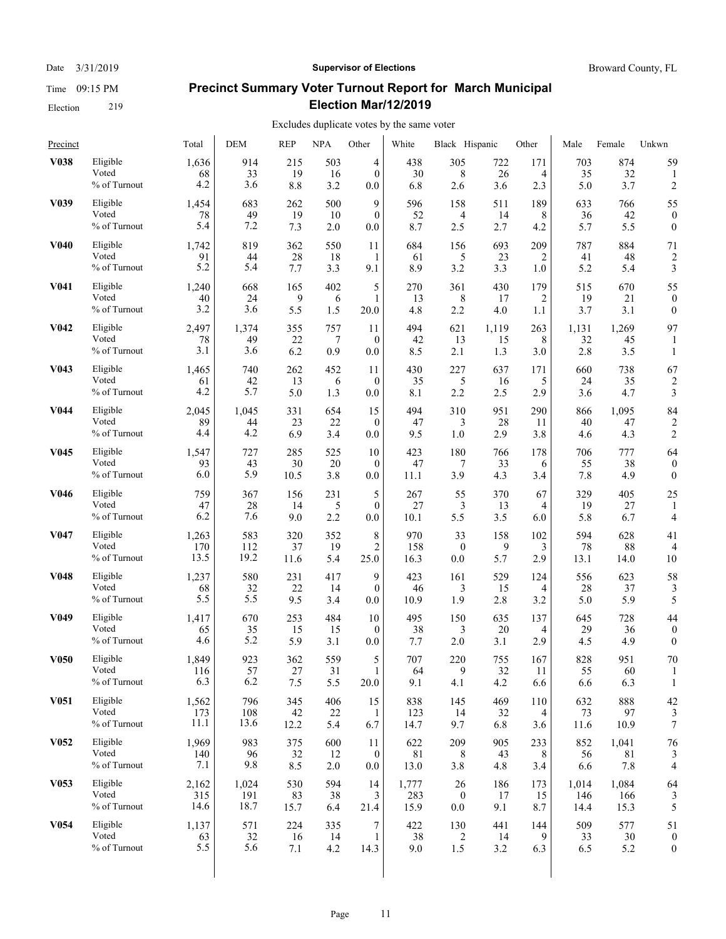#### Date  $3/31/2019$  **Supervisor of Elections** Broward County, FL

# **Precinct Summary Voter Turnout Report for March Municipal Election Mar/12/2019**

| Precinct          |                                   | Total              | <b>DEM</b>         | <b>REP</b>       | <b>NPA</b>      | Other                     | White             | Black Hispanic   |                    | Other           | Male               | Female             | Unkwn              |
|-------------------|-----------------------------------|--------------------|--------------------|------------------|-----------------|---------------------------|-------------------|------------------|--------------------|-----------------|--------------------|--------------------|--------------------|
| <b>V038</b>       | Eligible                          | 1,636              | 914                | 215              | 503             | 4                         | 438               | 305              | 722                | 171             | 703                | 874                | 59                 |
|                   | Voted                             | 68                 | 33                 | 19               | 16              | $\mathbf{0}$              | 30                | 8                | 26                 | 4               | 35                 | 32                 | 1                  |
|                   | % of Turnout                      | 4.2                | 3.6                | 8.8              | 3.2             | 0.0                       | 6.8               | 2.6              | 3.6                | 2.3             | 5.0                | 3.7                | 2                  |
| V <sub>0</sub> 39 | Eligible                          | 1,454              | 683                | 262              | 500             | 9                         | 596               | 158              | 511                | 189             | 633                | 766                | 55                 |
|                   | Voted                             | 78                 | 49                 | 19               | 10              | $\mathbf{0}$              | 52                | 4                | 14                 | 8               | 36                 | 42                 | $\boldsymbol{0}$   |
|                   | % of Turnout                      | 5.4                | 7.2                | 7.3              | 2.0             | 0.0                       | 8.7               | 2.5              | 2.7                | 4.2             | 5.7                | 5.5                | $\boldsymbol{0}$   |
| <b>V040</b>       | Eligible                          | 1,742              | 819                | 362              | 550             | 11                        | 684               | 156              | 693                | 209             | 787                | 884                | 71                 |
|                   | Voted                             | 91                 | 44                 | 28               | 18              | 1                         | 61                | 5                | 23                 | 2               | 41                 | 48                 | $\overline{c}$     |
|                   | % of Turnout                      | 5.2                | 5.4                | 7.7              | 3.3             | 9.1                       | 8.9               | 3.2              | 3.3                | 1.0             | 5.2                | 5.4                | 3                  |
| V <sub>041</sub>  | Eligible                          | 1,240              | 668                | 165              | 402             | 5                         | 270               | 361              | 430                | 179             | 515                | 670                | 55                 |
|                   | Voted                             | 40                 | 24                 | 9                | 6               | 1                         | 13                | 8                | 17                 | 2               | 19                 | 21                 | $\boldsymbol{0}$   |
|                   | % of Turnout                      | 3.2                | 3.6                | 5.5              | 1.5             | 20.0                      | 4.8               | 2.2              | 4.0                | 1.1             | 3.7                | 3.1                | $\mathbf{0}$       |
| V <sub>0</sub> 42 | Eligible<br>Voted<br>% of Turnout | 2,497<br>78<br>3.1 | 1,374<br>49<br>3.6 | 355<br>22<br>6.2 | 757<br>7<br>0.9 | 11<br>$\mathbf{0}$<br>0.0 | 494<br>42<br>8.5  | 621<br>13<br>2.1 | 1,119<br>15<br>1.3 | 263<br>8<br>3.0 | 1,131<br>32<br>2.8 | 1,269<br>45<br>3.5 | 97<br>$\mathbf{1}$ |
| V <sub>0</sub> 43 | Eligible                          | 1,465              | 740                | 262              | 452             | 11                        | 430               | 227              | 637                | 171             | 660                | 738                | 67                 |
|                   | Voted                             | 61                 | 42                 | 13               | 6               | $\mathbf{0}$              | 35                | 5                | 16                 | 5               | 24                 | 35                 | $\overline{c}$     |
|                   | % of Turnout                      | 4.2                | 5.7                | 5.0              | 1.3             | 0.0                       | 8.1               | 2.2              | 2.5                | 2.9             | 3.6                | 4.7                | 3                  |
| V <sub>044</sub>  | Eligible                          | 2,045              | 1,045              | 331              | 654             | 15                        | 494               | 310              | 951                | 290             | 866                | 1,095              | 84                 |
|                   | Voted                             | 89                 | 44                 | 23               | 22              | $\mathbf{0}$              | 47                | 3                | 28                 | 11              | 40                 | 47                 | $\overline{2}$     |
|                   | % of Turnout                      | 4.4                | 4.2                | 6.9              | 3.4             | 0.0                       | 9.5               | 1.0              | 2.9                | 3.8             | 4.6                | 4.3                | 2                  |
| V <sub>045</sub>  | Eligible                          | 1,547              | 727                | 285              | 525             | 10                        | 423               | 180              | 766                | 178             | 706                | 777                | 64                 |
|                   | Voted                             | 93                 | 43                 | 30               | 20              | $\mathbf{0}$              | 47                | 7                | 33                 | 6               | 55                 | 38                 | $\boldsymbol{0}$   |
|                   | % of Turnout                      | 6.0                | 5.9                | 10.5             | 3.8             | 0.0                       | 11.1              | 3.9              | 4.3                | 3.4             | 7.8                | 4.9                | $\mathbf{0}$       |
| V <sub>046</sub>  | Eligible<br>Voted<br>% of Turnout | 759<br>47<br>6.2   | 367<br>28<br>7.6   | 156<br>14<br>9.0 | 231<br>5<br>2.2 | 5<br>$\mathbf{0}$<br>0.0  | 267<br>27<br>10.1 | 55<br>3<br>5.5   | 370<br>13<br>3.5   | 67<br>4<br>6.0  | 329<br>19<br>5.8   | 405<br>27<br>6.7   | 25<br>4            |
| V <sub>047</sub>  | Eligible                          | 1,263              | 583                | 320              | 352             | 8                         | 970               | 33               | 158                | 102             | 594                | 628                | 41                 |
|                   | Voted                             | 170                | 112                | 37               | 19              | 2                         | 158               | $\bf{0}$         | 9                  | 3               | 78                 | 88                 | $\overline{4}$     |
|                   | $\%$ of Turnout                   | 13.5               | 19.2               | 11.6             | 5.4             | 25.0                      | 16.3              | 0.0              | 5.7                | 2.9             | 13.1               | 14.0               | 10                 |
| <b>V048</b>       | Eligible                          | 1,237              | 580                | 231              | 417             | 9                         | 423               | 161              | 529                | 124             | 556                | 623                | 58                 |
|                   | Voted                             | 68                 | 32                 | 22               | 14              | $\mathbf{0}$              | 46                | 3                | 15                 | 4               | 28                 | 37                 | 3                  |
|                   | $\%$ of Turnout                   | 5.5                | 5.5                | 9.5              | 3.4             | 0.0                       | 10.9              | 1.9              | 2.8                | 3.2             | 5.0                | 5.9                | 5                  |
| V <sub>0</sub> 49 | Eligible                          | 1,417              | 670                | 253              | 484             | 10                        | 495               | 150              | 635                | 137             | 645                | 728                | 44                 |
|                   | Voted                             | 65                 | 35                 | 15               | 15              | $\mathbf{0}$              | 38                | 3                | 20                 | 4               | 29                 | 36                 | $\theta$           |
|                   | % of Turnout                      | 4.6                | 5.2                | 5.9              | 3.1             | 0.0                       | 7.7               | 2.0              | 3.1                | 2.9             | 4.5                | 4.9                | $\mathbf{0}$       |
| <b>V050</b>       | Eligible                          | 1,849              | 923                | 362              | 559             | 5                         | 707               | 220              | 755                | 167             | 828                | 951                | 70                 |
|                   | Voted                             | 116                | 57                 | 27               | 31              | $\mathbf{1}$              | 64                | 9                | 32                 | 11              | 55                 | 60                 | 1                  |
|                   | $\%$ of Turnout                   | 6.3                | 6.2                | 7.5              | 5.5             | 20.0                      | 9.1               | 4.1              | 4.2                | 6.6             | 6.6                | 6.3                | 1                  |
| <b>V051</b>       | Eligible                          | 1,562              | 796                | 345              | 406             | 15                        | 838               | 145              | 469                | 110             | 632                | 888                | 42                 |
|                   | Voted                             | 173                | 108                | 42               | 22              | 1                         | 123               | 14               | 32                 | 4               | 73                 | 97                 | 3                  |
|                   | % of Turnout                      | 11.1               | 13.6               | 12.2             | 5.4             | 6.7                       | 14.7              | 9.7              | 6.8                | 3.6             | 11.6               | 10.9               | 7                  |
| <b>V052</b>       | Eligible                          | 1,969              | 983                | 375              | 600             | 11                        | 622               | 209              | 905                | 233             | 852                | 1,041              | 76                 |
|                   | Voted                             | 140                | 96                 | 32               | 12              | $\boldsymbol{0}$          | 81                | 8                | 43                 | 8               | 56                 | 81                 | 3                  |
|                   | % of Turnout                      | 7.1                | 9.8                | 8.5              | $2.0\,$         | $0.0\,$                   | 13.0              | 3.8              | 4.8                | 3.4             | 6.6                | 7.8                | 4                  |
| V <sub>053</sub>  | Eligible                          | 2,162              | 1,024              | 530              | 594             | 14                        | 1,777             | 26               | 186                | 173             | 1,014              | 1,084              | 64                 |
|                   | Voted                             | 315                | 191                | 83               | 38              | 3                         | 283               | $\boldsymbol{0}$ | 17                 | 15              | 146                | 166                | 3                  |
|                   | % of Turnout                      | 14.6               | 18.7               | 15.7             | 6.4             | 21.4                      | 15.9              | 0.0              | 9.1                | 8.7             | 14.4               | 15.3               | 5                  |
| <b>V054</b>       | Eligible                          | 1,137              | 571                | 224              | 335             | 7                         | 422               | 130              | 441                | 144             | 509                | 577                | 51                 |
|                   | Voted                             | 63                 | 32                 | 16               | 14              | $\mathbf{1}$              | 38                | $\overline{2}$   | 14                 | 9               | 33                 | 30                 | $\boldsymbol{0}$   |
|                   | % of Turnout                      | 5.5                | 5.6                | 7.1              | 4.2             | 14.3                      | 9.0               | 1.5              | 3.2                | 6.3             | 6.5                | 5.2                | $\mathbf{0}$       |
|                   |                                   |                    |                    |                  |                 |                           |                   |                  |                    |                 |                    |                    |                    |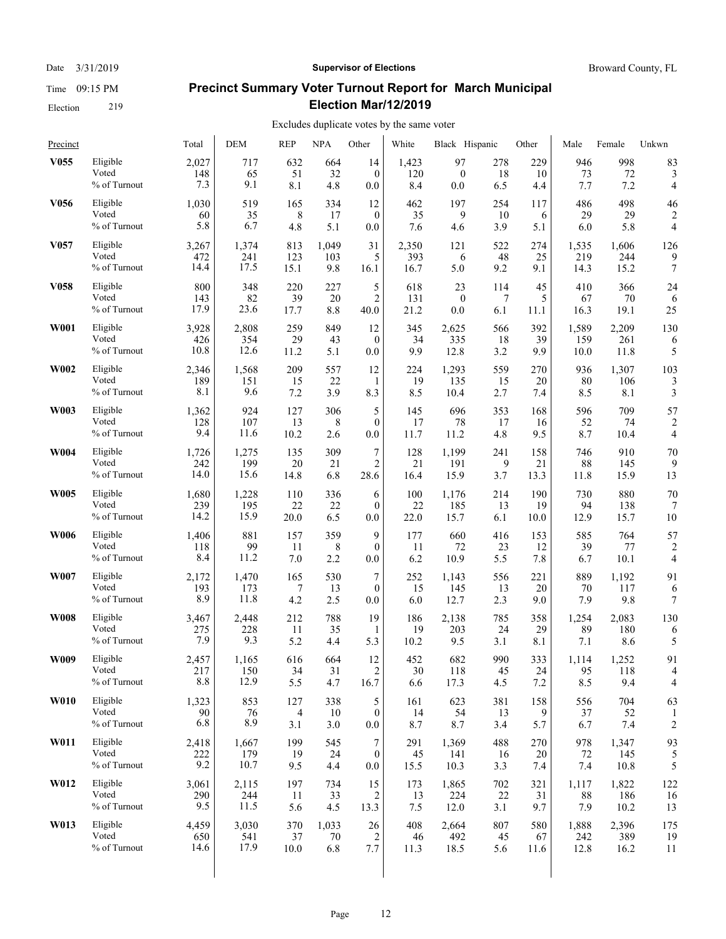Date  $3/31/2019$  **Supervisor of Elections** Broward County, FL

# **Precinct Summary Voter Turnout Report for March Municipal Election Mar/12/2019**

| Precinct         |                                   | Total               | DEM                  | <b>REP</b>       | <b>NPA</b>       | Other                            | White             | Black Hispanic       |                  | Other            | Male             | Female               | Unkwn          |
|------------------|-----------------------------------|---------------------|----------------------|------------------|------------------|----------------------------------|-------------------|----------------------|------------------|------------------|------------------|----------------------|----------------|
| V <sub>055</sub> | Eligible                          | 2,027               | 717                  | 632              | 664              | 14                               | 1,423             | 97                   | 278              | 229              | 946              | 998                  | 83             |
|                  | Voted                             | 148                 | 65                   | 51               | 32               | $\mathbf{0}$                     | 120               | $\mathbf{0}$         | 18               | 10               | 73               | 72                   | 3              |
|                  | % of Turnout                      | 7.3                 | 9.1                  | 8.1              | 4.8              | 0.0                              | 8.4               | 0.0                  | 6.5              | 4.4              | 7.7              | 7.2                  | 4              |
| V <sub>056</sub> | Eligible                          | 1,030               | 519                  | 165              | 334              | 12                               | 462               | 197                  | 254              | 117              | 486              | 498                  | 46             |
|                  | Voted                             | 60                  | 35                   | 8                | 17               | $\mathbf{0}$                     | 35                | 9                    | 10               | 6                | 29               | 29                   | $\overline{2}$ |
|                  | % of Turnout                      | 5.8                 | 6.7                  | 4.8              | 5.1              | 0.0                              | 7.6               | 4.6                  | 3.9              | 5.1              | 6.0              | 5.8                  | 4              |
| V <sub>057</sub> | Eligible                          | 3,267               | 1,374                | 813              | 1,049            | 31                               | 2,350             | 121                  | 522              | 274              | 1,535            | 1.606                | 126            |
|                  | Voted                             | 472                 | 241                  | 123              | 103              | 5                                | 393               | 6                    | 48               | 25               | 219              | 244                  | 9              |
|                  | % of Turnout                      | 14.4                | 17.5                 | 15.1             | 9.8              | 16.1                             | 16.7              | 5.0                  | 9.2              | 9.1              | 14.3             | 15.2                 | 7              |
| V <sub>058</sub> | Eligible                          | 800                 | 348                  | 220              | 227              | 5                                | 618               | 23                   | 114              | 45               | 410              | 366                  | 24             |
|                  | Voted                             | 143                 | 82                   | 39               | 20               | 2                                | 131               | $\mathbf{0}$         | 7                | 5                | 67               | 70                   | 6              |
|                  | % of Turnout                      | 17.9                | 23.6                 | 17.7             | 8.8              | 40.0                             | 21.2              | 0.0                  | 6.1              | 11.1             | 16.3             | 19.1                 | 25             |
| <b>W001</b>      | Eligible                          | 3,928               | 2,808                | 259              | 849              | 12                               | 345               | 2,625                | 566              | 392              | 1,589            | 2,209                | 130            |
|                  | Voted                             | 426                 | 354                  | 29               | 43               | $\mathbf{0}$                     | 34                | 335                  | 18               | 39               | 159              | 261                  | 6              |
|                  | % of Turnout                      | 10.8                | 12.6                 | 11.2             | 5.1              | 0.0                              | 9.9               | 12.8                 | 3.2              | 9.9              | 10.0             | 11.8                 | 5              |
| W002             | Eligible                          | 2,346               | 1,568                | 209              | 557              | 12                               | 224               | 1,293                | 559              | 270              | 936              | 1,307                | 103            |
|                  | Voted                             | 189                 | 151                  | 15               | 22               | 1                                | 19                | 135                  | 15               | 20               | 80               | 106                  | 3              |
|                  | % of Turnout                      | 8.1                 | 9.6                  | 7.2              | 3.9              | 8.3                              | 8.5               | 10.4                 | 2.7              | 7.4              | 8.5              | 8.1                  | 3              |
| W003             | Eligible                          | 1,362               | 924                  | 127              | 306              | 5                                | 145               | 696                  | 353              | 168              | 596              | 709                  | 57             |
|                  | Voted                             | 128                 | 107                  | 13               | 8                | $\mathbf{0}$                     | 17                | 78                   | 17               | 16               | 52               | 74                   | 2              |
|                  | % of Turnout                      | 9.4                 | 11.6                 | 10.2             | 2.6              | 0.0                              | 11.7              | 11.2                 | 4.8              | 9.5              | 8.7              | 10.4                 | 4              |
| <b>W004</b>      | Eligible                          | 1,726               | 1,275                | 135              | 309              | $\boldsymbol{7}$                 | 128               | 1,199                | 241              | 158              | 746              | 910                  | 70             |
|                  | Voted                             | 242                 | 199                  | 20               | 21               | $\overline{c}$                   | 21                | 191                  | 9                | 21               | 88               | 145                  | 9              |
|                  | % of Turnout                      | 14.0                | 15.6                 | 14.8             | 6.8              | 28.6                             | 16.4              | 15.9                 | 3.7              | 13.3             | 11.8             | 15.9                 | 13             |
| <b>W005</b>      | Eligible                          | 1,680               | 1,228                | 110              | 336              | 6                                | 100               | 1,176                | 214              | 190              | 730              | 880                  | 70             |
|                  | Voted                             | 239                 | 195                  | 22               | 22               | $\mathbf{0}$                     | 22                | 185                  | 13               | 19               | 94               | 138                  | 7              |
|                  | % of Turnout                      | 14.2                | 15.9                 | 20.0             | 6.5              | 0.0                              | 22.0              | 15.7                 | 6.1              | 10.0             | 12.9             | 15.7                 | 10             |
| <b>W006</b>      | Eligible                          | 1,406               | 881                  | 157              | 359              | 9                                | 177               | 660                  | 416              | 153              | 585              | 764                  | 57             |
|                  | Voted                             | 118                 | 99                   | 11               | 8                | $\mathbf{0}$                     | 11                | 72                   | 23               | 12               | 39               | 77                   | 2              |
|                  | % of Turnout                      | 8.4                 | 11.2                 | 7.0              | 2.2              | 0.0                              | 6.2               | 10.9                 | 5.5              | 7.8              | 6.7              | 10.1                 | $\overline{4}$ |
| W007             | Eligible                          | 2,172               | 1,470                | 165              | 530              | 7                                | 252               | 1,143                | 556              | 221              | 889              | 1,192                | 91             |
|                  | Voted                             | 193                 | 173                  | 7                | 13               | $\mathbf{0}$                     | 15                | 145                  | 13               | 20               | 70               | 117                  | 6              |
|                  | % of Turnout                      | 8.9                 | 11.8                 | 4.2              | 2.5              | 0.0                              | 6.0               | 12.7                 | 2.3              | 9.0              | 7.9              | 9.8                  | 7              |
| <b>W008</b>      | Eligible                          | 3,467               | 2,448                | 212              | 788              | 19                               | 186               | 2,138                | 785              | 358              | 1,254            | 2,083                | 130            |
|                  | Voted                             | 275                 | 228                  | 11               | 35               | 1                                | 19                | 203                  | 24               | 29               | 89               | 180                  | 6              |
|                  | % of Turnout                      | 7.9                 | 9.3                  | 5.2              | 4.4              | 5.3                              | 10.2              | 9.5                  | 3.1              | 8.1              | 7.1              | 8.6                  | 5              |
| W009             | Eligible                          | 2,457               | 1,165                | 616              | 664              | 12                               | 452               | 682                  | 990              | 333              | 1,114            | 1,252                | 91             |
|                  | Voted                             | 217                 | 150                  | 34               | 31               | $\overline{2}$                   | 30                | 118                  | 45               | 24               | 95               | 118                  | $\overline{4}$ |
|                  | $\%$ of Turnout                   | 8.8                 | 12.9                 | 5.5              | 4.7              | 16.7                             | 6.6               | 17.3                 | 4.5              | 7.2              | 8.5              | 9.4                  | 4              |
| <b>W010</b>      | Eligible                          | 1,323               | 853                  | 127              | 338              | 5                                | 161               | 623                  | 381              | 158              | 556              | 704                  | 63             |
|                  | Voted                             | 90                  | 76                   | 4                | 10               | $\mathbf{0}$                     | 14                | 54                   | 13               | 9                | 37               | 52                   | 1              |
|                  | % of Turnout                      | 6.8                 | 8.9                  | 3.1              | 3.0              | $0.0\,$                          | 8.7               | 8.7                  | 3.4              | 5.7              | 6.7              | 7.4                  | 2              |
| W011             | Eligible<br>Voted<br>% of Turnout | 2,418<br>222<br>9.2 | 1,667<br>179<br>10.7 | 199<br>19<br>9.5 | 545<br>24<br>4.4 | 7<br>$\boldsymbol{0}$<br>$0.0\,$ | 291<br>45<br>15.5 | 1,369<br>141<br>10.3 | 488<br>16<br>3.3 | 270<br>20<br>7.4 | 978<br>72<br>7.4 | 1,347<br>145<br>10.8 | 93<br>5        |
| W012             | Eligible                          | 3,061               | 2,115                | 197              | 734              | 15                               | 173               | 1,865                | 702              | 321              | 1,117            | 1,822                | 122            |
|                  | Voted                             | 290                 | 244                  | 11               | 33               | 2                                | 13                | 224                  | 22               | 31               | 88               | 186                  | 16             |
|                  | % of Turnout                      | 9.5                 | 11.5                 | 5.6              | 4.5              | 13.3                             | 7.5               | 12.0                 | 3.1              | 9.7              | 7.9              | 10.2                 | 13             |
| W013             | Eligible                          | 4,459               | 3,030                | 370              | 1,033            | 26                               | 408               | 2,664                | 807              | 580              | 1,888            | 2,396                | 175            |
|                  | Voted                             | 650                 | 541                  | 37               | 70               | 2                                | 46                | 492                  | 45               | 67               | 242              | 389                  | 19             |
|                  | % of Turnout                      | 14.6                | 17.9                 | 10.0             | 6.8              | 7.7                              | 11.3              | 18.5                 | 5.6              | 11.6             | 12.8             | 16.2                 | 11             |
|                  |                                   |                     |                      |                  |                  |                                  |                   |                      |                  |                  |                  |                      |                |